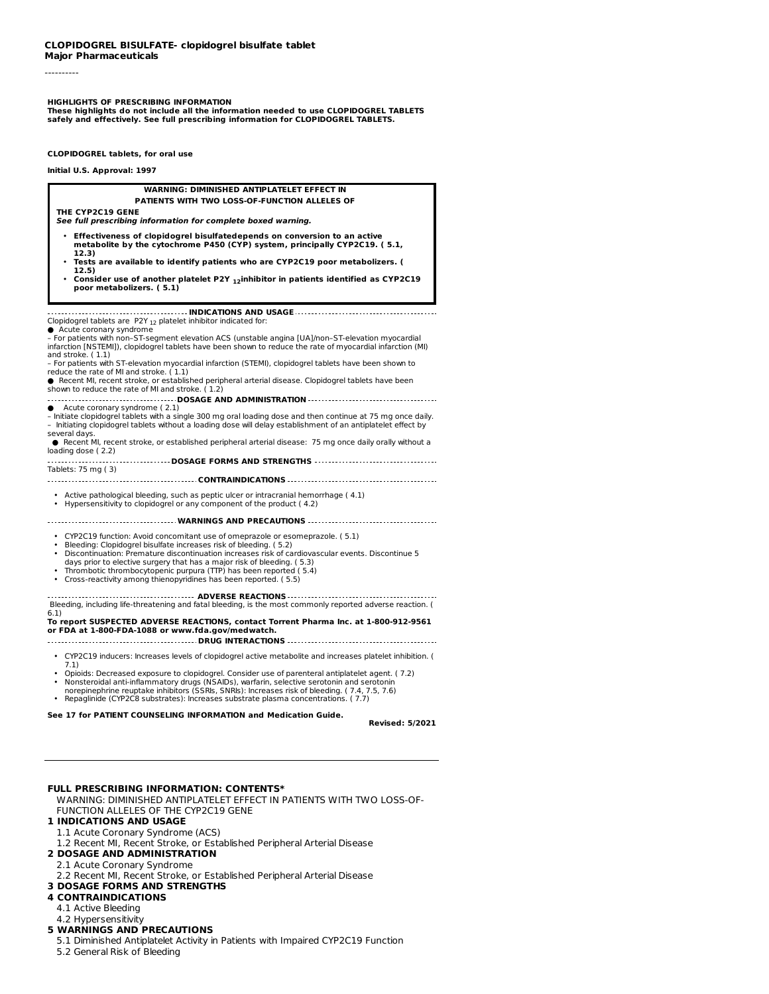**Major Pharmaceuticals**

----------

#### **HIGHLIGHTS OF PRESCRIBING INFORMATION**

**These highlights do not include all the information needed to use CLOPIDOGREL TABLETS safely and effectively. See full prescribing information for CLOPIDOGREL TABLETS.**

**CLOPIDOGREL tablets, for oral use**

**Initial U.S. Approval: 1997**

# **WARNING: DIMINISHED ANTIPLATELET EFFECT IN**

#### **PATIENTS WITH TWO LOSS-OF-FUNCTION ALLELES OF**

**THE CYP2C19 GENE**

- **See full prescribing information for complete boxed warning.** • **Effectiveness of clopidogrel bisulfatedepends on conversion to an active metabolite by the cytochrome P450 (CYP) system, principally CYP2C19. ( 5.1, 12.3)**
- **Tests are available to identify patients who are CYP2C19 poor metabolizers. ( 12.5)**
- **Consider use of another platelet P2Y inhibitor in patients identified as CYP2C19 12 poor metabolizers. ( 5.1)**

#### **INDICATIONS AND USAGE**

Clopidogrel tablets are P2Y  $_{12}$  platelet inhibitor indicated for:

● Acute coronary syndrome<br>– For patients with non–ST-segment elevation ACS (unstable angina [UA]/non–ST-elevation myocardial infarction [NSTEMI]), clopidogrel tablets have been shown to reduce the rate of myocardial infarction (MI) and stroke. ( 1.1)

- For patients with ST-elevation myocardial infarction (STEMI), clopidogrel tablets have been shown to reduce the rate of MI and stroke. ( 1.1)
- Recent MI, recent stroke, or established peripheral arterial disease. Clopidogrel tablets have been shown to reduce the rate of MI and stroke. ( 1.2)
- **DOSAGE AND ADMINISTRATION**
- Acute coronary syndrome (2.1)
- Initiate clopidogrel tablets with a single 300 mg oral loading dose and then continue at 75 mg once daily. – Initiating clopidogrel tablets without a loading dose will delay establishment of an antiplatelet effect by
- several days. ● Recent MI, recent stroke, or established peripheral arterial disease: 75 mg once daily orally without a
- loading dose ( 2.2) **DOSAGE FORMS AND STRENGTHS** Tablets: 75 mg ( 3)
- **CONTRAINDICATIONS**
- Active pathological bleeding, such as peptic ulcer or intracranial hemorrhage ( 4.1)
- Hypersensitivity to clopidogrel or any component of the product ( 4.2)

**WARNINGS AND PRECAUTIONS**

- CYP2C19 function: Avoid concomitant use of omeprazole or esomeprazole. ( 5.1)
- 
- CYP2C19 function: Avoid concomitant use of omeprazole or esomeprazole. ( 5.1)<br>• Bleeding: Clopidogrel bisulfate increases risk of bleeding. ( 5.2)<br>• Discontinuation: Premature discontinuation increases risk of card
- days prior to elective surgery that has a major risk of bleeding. ( 5.3) Thrombotic thrombocytopenic purpura (TTP) has been reported ( 5.4)
- • Cross-reactivity among thienopyridines has been reported. ( 5.5)
- 

**ADVERSE REACTIONS** Bleeding, including life-threatening and fatal bleeding, is the most commonly reported adverse reaction. ( 6.1)

#### **To report SUSPECTED ADVERSE REACTIONS, contact Torrent Pharma Inc. at 1-800-912-9561 or FDA at 1-800-FDA-1088 or www.fda.gov/medwatch. DRUG INTERACTIONS**

- 
- CYP2C19 inducers: Increases levels of clopidogrel active metabolite and increases platelet inhibition. (
- 7.1) Opioids: Decreased exposure to clopidogrel. Consider use of parenteral antiplatelet agent. ( 7.2)
- Opioids: Decreased exposure to clopidogrel. Consider use of parenteral antiplatelet agent. (<br>• Nonsteroidal anti-inflammatory drugs (NSAIDs), warfarin, selective serotonin and serotonin<br>norepinephrine reuptake inhibitors
- 
- Repaglinide (CYP2C8 substrates): Increases substrate plasma concentrations. ( 7.7)

**See 17 for PATIENT COUNSELING INFORMATION and Medication Guide.**

**Revised: 5/2021**

# **FULL PRESCRIBING INFORMATION: CONTENTS\***

WARNING: DIMINISHED ANTIPLATELET EFFECT IN PATIENTS WITH TWO LOSS-OF-FUNCTION ALLELES OF THE CYP2C19 GENE

#### **1 INDICATIONS AND USAGE**

- 1.1 Acute Coronary Syndrome (ACS)
- 1.2 Recent MI, Recent Stroke, or Established Peripheral Arterial Disease
- **2 DOSAGE AND ADMINISTRATION**
- 2.1 Acute Coronary Syndrome
- 2.2 Recent MI, Recent Stroke, or Established Peripheral Arterial Disease
- **3 DOSAGE FORMS AND STRENGTHS**

# **4 CONTRAINDICATIONS**

- 4.1 Active Bleeding
- 4.2 Hypersensitivity

# **5 WARNINGS AND PRECAUTIONS**

5.1 Diminished Antiplatelet Activity in Patients with Impaired CYP2C19 Function

5.2 General Risk of Bleeding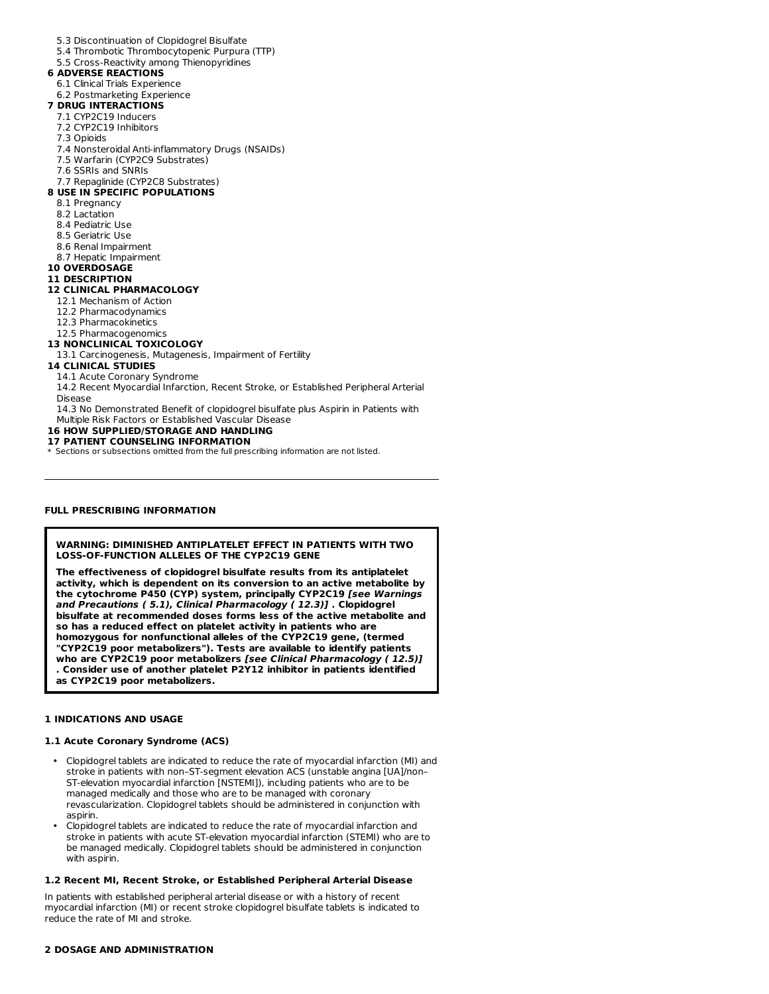- 5.3 Discontinuation of Clopidogrel Bisulfate
- 5.4 Thrombotic Thrombocytopenic Purpura (TTP)
- 5.5 Cross-Reactivity among Thienopyridines

# **6 ADVERSE REACTIONS**

- 6.1 Clinical Trials Experience
- 6.2 Postmarketing Experience

# **7 DRUG INTERACTIONS**

- 7.1 CYP2C19 Inducers
- 7.2 CYP2C19 Inhibitors
- 7.3 Opioids
- 7.4 Nonsteroidal Anti-inflammatory Drugs (NSAIDs)
- 7.5 Warfarin (CYP2C9 Substrates)
- 7.6 SSRIs and SNRIs

#### 7.7 Repaglinide (CYP2C8 Substrates) **8 USE IN SPECIFIC POPULATIONS**

- 8.1 Pregnancy
- 8.2 Lactation
- 8.4 Pediatric Use
- 8.5 Geriatric Use
- 8.6 Renal Impairment
- 8.7 Hepatic Impairment
- **10 OVERDOSAGE**

# **11 DESCRIPTION**

# **12 CLINICAL PHARMACOLOGY**

- 12.1 Mechanism of Action
- 12.2 Pharmacodynamics
- 12.3 Pharmacokinetics

#### 12.5 Pharmacogenomics

# **13 NONCLINICAL TOXICOLOGY**

13.1 Carcinogenesis, Mutagenesis, Impairment of Fertility

# **14 CLINICAL STUDIES**

- 14.1 Acute Coronary Syndrome
- 14.2 Recent Myocardial Infarction, Recent Stroke, or Established Peripheral Arterial Disease
- 
- 14.3 No Demonstrated Benefit of clopidogrel bisulfate plus Aspirin in Patients with

#### Multiple Risk Factors or Established Vascular Disease **16 HOW SUPPLIED/STORAGE AND HANDLING**

# **17 PATIENT COUNSELING INFORMATION**

\* Sections or subsections omitted from the full prescribing information are not listed.

# **FULL PRESCRIBING INFORMATION**

# **WARNING: DIMINISHED ANTIPLATELET EFFECT IN PATIENTS WITH TWO LOSS-OF-FUNCTION ALLELES OF THE CYP2C19 GENE**

**The effectiveness of clopidogrel bisulfate results from its antiplatelet activity, which is dependent on its conversion to an active metabolite by the cytochrome P450 (CYP) system, principally CYP2C19 [see Warnings and Precautions ( 5.1), Clinical Pharmacology ( 12.3)] . Clopidogrel bisulfate at recommended doses forms less of the active metabolite and so has a reduced effect on platelet activity in patients who are homozygous for nonfunctional alleles of the CYP2C19 gene, (termed "CYP2C19 poor metabolizers"). Tests are available to identify patients who are CYP2C19 poor metabolizers [see Clinical Pharmacology ( 12.5)] . Consider use of another platelet P2Y12 inhibitor in patients identified as CYP2C19 poor metabolizers.**

# **1 INDICATIONS AND USAGE**

# **1.1 Acute Coronary Syndrome (ACS)**

- Clopidogrel tablets are indicated to reduce the rate of myocardial infarction (MI) and stroke in patients with non–ST-segment elevation ACS (unstable angina [UA]/non– ST-elevation myocardial infarction [NSTEMI]), including patients who are to be managed medically and those who are to be managed with coronary revascularization. Clopidogrel tablets should be administered in conjunction with aspirin.
- Clopidogrel tablets are indicated to reduce the rate of myocardial infarction and stroke in patients with acute ST-elevation myocardial infarction (STEMI) who are to be managed medically. Clopidogrel tablets should be administered in conjunction with aspirin.

# **1.2 Recent MI, Recent Stroke, or Established Peripheral Arterial Disease**

In patients with established peripheral arterial disease or with a history of recent myocardial infarction (MI) or recent stroke clopidogrel bisulfate tablets is indicated to reduce the rate of MI and stroke.

# **2 DOSAGE AND ADMINISTRATION**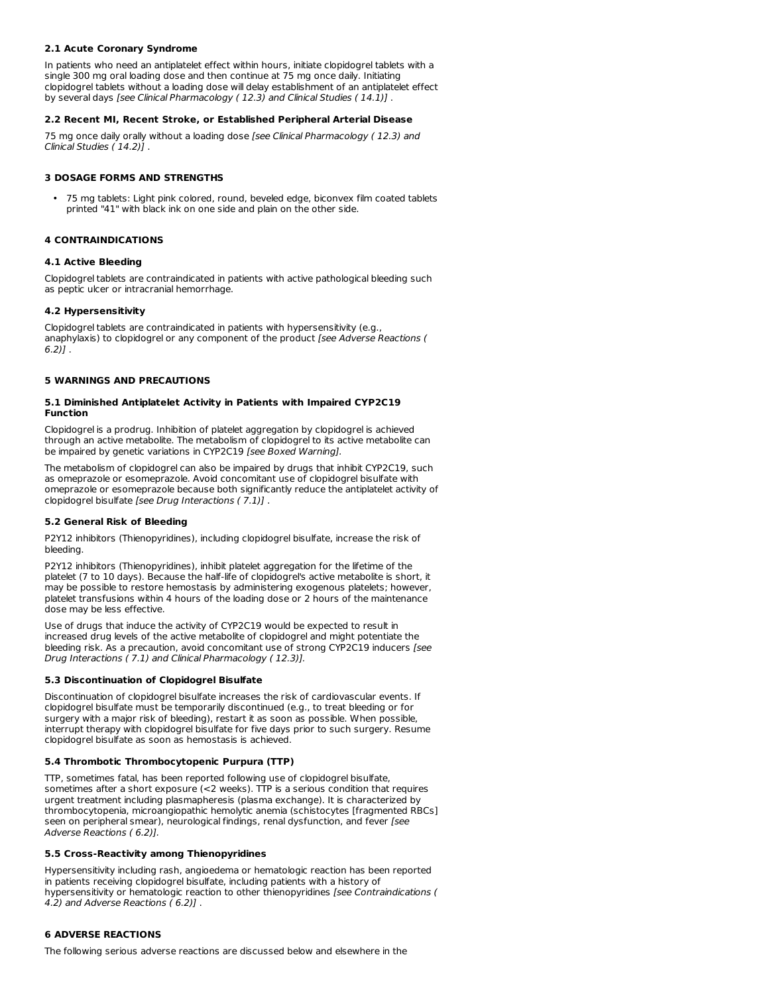# **2.1 Acute Coronary Syndrome**

In patients who need an antiplatelet effect within hours, initiate clopidogrel tablets with a single 300 mg oral loading dose and then continue at 75 mg once daily. Initiating clopidogrel tablets without a loading dose will delay establishment of an antiplatelet effect by several days [see Clinical Pharmacology (12.3) and Clinical Studies (14.1)].

# **2.2 Recent MI, Recent Stroke, or Established Peripheral Arterial Disease**

75 mg once daily orally without a loading dose [see Clinical Pharmacology (12.3) and Clinical Studies ( 14.2)] .

# **3 DOSAGE FORMS AND STRENGTHS**

• 75 mg tablets: Light pink colored, round, beveled edge, biconvex film coated tablets printed "41" with black ink on one side and plain on the other side.

# **4 CONTRAINDICATIONS**

# **4.1 Active Bleeding**

Clopidogrel tablets are contraindicated in patients with active pathological bleeding such as peptic ulcer or intracranial hemorrhage.

### **4.2 Hypersensitivity**

Clopidogrel tablets are contraindicated in patients with hypersensitivity (e.g., anaphylaxis) to clopidogrel or any component of the product [see Adverse Reactions (  $6.2)$ ].

# **5 WARNINGS AND PRECAUTIONS**

# **5.1 Diminished Antiplatelet Activity in Patients with Impaired CYP2C19 Function**

Clopidogrel is a prodrug. Inhibition of platelet aggregation by clopidogrel is achieved through an active metabolite. The metabolism of clopidogrel to its active metabolite can be impaired by genetic variations in CYP2C19 [see Boxed Warning].

The metabolism of clopidogrel can also be impaired by drugs that inhibit CYP2C19, such as omeprazole or esomeprazole. Avoid concomitant use of clopidogrel bisulfate with omeprazole or esomeprazole because both significantly reduce the antiplatelet activity of clopidogrel bisulfate [see Drug Interactions ( 7.1)] .

#### **5.2 General Risk of Bleeding**

P2Y12 inhibitors (Thienopyridines), including clopidogrel bisulfate, increase the risk of bleeding.

P2Y12 inhibitors (Thienopyridines), inhibit platelet aggregation for the lifetime of the platelet (7 to 10 days). Because the half-life of clopidogrel's active metabolite is short, it may be possible to restore hemostasis by administering exogenous platelets; however, platelet transfusions within 4 hours of the loading dose or 2 hours of the maintenance dose may be less effective.

Use of drugs that induce the activity of CYP2C19 would be expected to result in increased drug levels of the active metabolite of clopidogrel and might potentiate the bleeding risk. As a precaution, avoid concomitant use of strong CYP2C19 inducers [see Drug Interactions ( 7.1) and Clinical Pharmacology ( 12.3)].

# **5.3 Discontinuation of Clopidogrel Bisulfate**

Discontinuation of clopidogrel bisulfate increases the risk of cardiovascular events. If clopidogrel bisulfate must be temporarily discontinued (e.g., to treat bleeding or for surgery with a major risk of bleeding), restart it as soon as possible. When possible, interrupt therapy with clopidogrel bisulfate for five days prior to such surgery. Resume clopidogrel bisulfate as soon as hemostasis is achieved.

# **5.4 Thrombotic Thrombocytopenic Purpura (TTP)**

TTP, sometimes fatal, has been reported following use of clopidogrel bisulfate, sometimes after a short exposure (<2 weeks). TTP is a serious condition that requires urgent treatment including plasmapheresis (plasma exchange). It is characterized by thrombocytopenia, microangiopathic hemolytic anemia (schistocytes [fragmented RBCs] seen on peripheral smear), neurological findings, renal dysfunction, and fever [see Adverse Reactions ( 6.2)].

# **5.5 Cross-Reactivity among Thienopyridines**

Hypersensitivity including rash, angioedema or hematologic reaction has been reported in patients receiving clopidogrel bisulfate, including patients with a history of hypersensitivity or hematologic reaction to other thienopyridines [see Contraindications ( 4.2) and Adverse Reactions ( 6.2)] .

# **6 ADVERSE REACTIONS**

The following serious adverse reactions are discussed below and elsewhere in the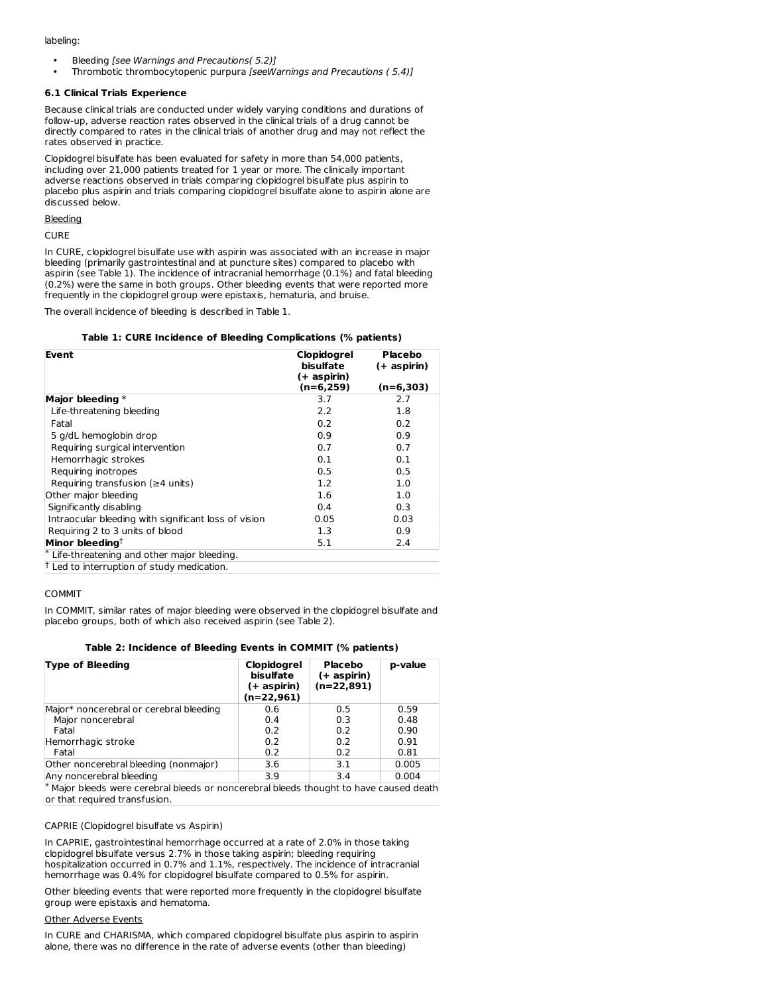labeling:

- Bleeding [see Warnings and Precautions( 5.2)]
- Thrombotic thrombocytopenic purpura [seeWarnings and Precautions ( 5.4)]

### **6.1 Clinical Trials Experience**

Because clinical trials are conducted under widely varying conditions and durations of follow-up, adverse reaction rates observed in the clinical trials of a drug cannot be directly compared to rates in the clinical trials of another drug and may not reflect the rates observed in practice.

Clopidogrel bisulfate has been evaluated for safety in more than 54,000 patients, including over 21,000 patients treated for 1 year or more. The clinically important adverse reactions observed in trials comparing clopidogrel bisulfate plus aspirin to placebo plus aspirin and trials comparing clopidogrel bisulfate alone to aspirin alone are discussed below.

Bleeding

CURE

In CURE, clopidogrel bisulfate use with aspirin was associated with an increase in major bleeding (primarily gastrointestinal and at puncture sites) compared to placebo with aspirin (see Table 1). The incidence of intracranial hemorrhage (0.1%) and fatal bleeding (0.2%) were the same in both groups. Other bleeding events that were reported more frequently in the clopidogrel group were epistaxis, hematuria, and bruise.

The overall incidence of bleeding is described in Table 1.

# **Table 1: CURE Incidence of Bleeding Complications (% patients)**

| Event                                                 | Clopidogrel<br>bisulfate<br>(+ aspirin) | Placebo<br>(+ aspirin) |
|-------------------------------------------------------|-----------------------------------------|------------------------|
|                                                       | (n=6,259)                               | $(n=6,303)$            |
| Major bleeding $*$                                    | 3.7                                     | 2.7                    |
| Life-threatening bleeding                             | 2.2                                     | 1.8                    |
| Fatal                                                 | 0.2                                     | 0.2                    |
| 5 g/dL hemoglobin drop                                | 0.9                                     | 0.9                    |
| Requiring surgical intervention                       | 0.7                                     | 0.7                    |
| Hemorrhagic strokes                                   | 0.1                                     | 0.1                    |
| Reguiring inotropes                                   | 0.5                                     | 0.5                    |
| Requiring transfusion ( $\geq 4$ units)               | 1.2                                     | 1.0                    |
| Other major bleeding                                  | 1.6                                     | 1.0                    |
| Significantly disabling                               | 0.4                                     | 0.3                    |
| Intraocular bleeding with significant loss of vision  | 0.05                                    | 0.03                   |
| Requiring 2 to 3 units of blood                       | 1.3                                     | 0.9                    |
| Minor bleeding <sup>†</sup>                           | 5.1                                     | 2.4                    |
| Life-threatening and other major bleeding.            |                                         |                        |
| <sup>†</sup> Led to interruption of study medication. |                                         |                        |

COMMIT

In COMMIT, similar rates of major bleeding were observed in the clopidogrel bisulfate and placebo groups, both of which also received aspirin (see Table 2).

# **Table 2: Incidence of Bleeding Events in COMMIT (% patients)**

| <b>Type of Bleeding</b>                                                                | <b>Clopidogrel</b><br>bisulfate<br>(+ aspirin)<br>$(n=22,961)$ | <b>Placebo</b><br>(+ aspirin)<br>$(n=22,891)$ | p-value |
|----------------------------------------------------------------------------------------|----------------------------------------------------------------|-----------------------------------------------|---------|
| Major* noncerebral or cerebral bleeding                                                | 0.6                                                            | 0.5                                           | 0.59    |
| Major noncerebral                                                                      | 0.4                                                            | 0.3                                           | 0.48    |
| Fatal                                                                                  | 0.2                                                            | 0.2                                           | 0.90    |
| Hemorrhagic stroke                                                                     | 0.2                                                            | 0.2                                           | 0.91    |
| Fatal                                                                                  | 0.2                                                            | 0.2                                           | 0.81    |
| Other noncerebral bleeding (nonmajor)                                                  | 3.6                                                            | 3.1                                           | 0.005   |
| Any noncerebral bleeding                                                               | 3.9                                                            | 3.4                                           | 0.004   |
| * Maior bleeds were cerebral bleeds or noncerebral bleeds thought to have caused death |                                                                |                                               |         |

Major bleeds were cerebral bleeds or noncerebral bleeds thought to have caused death or that required transfusion.

# CAPRIE (Clopidogrel bisulfate vs Aspirin)

In CAPRIE, gastrointestinal hemorrhage occurred at a rate of 2.0% in those taking clopidogrel bisulfate versus 2.7% in those taking aspirin; bleeding requiring hospitalization occurred in 0.7% and 1.1%, respectively. The incidence of intracranial hemorrhage was 0.4% for clopidogrel bisulfate compared to 0.5% for aspirin.

Other bleeding events that were reported more frequently in the clopidogrel bisulfate group were epistaxis and hematoma.

#### Other Adverse Events

In CURE and CHARISMA, which compared clopidogrel bisulfate plus aspirin to aspirin alone, there was no difference in the rate of adverse events (other than bleeding)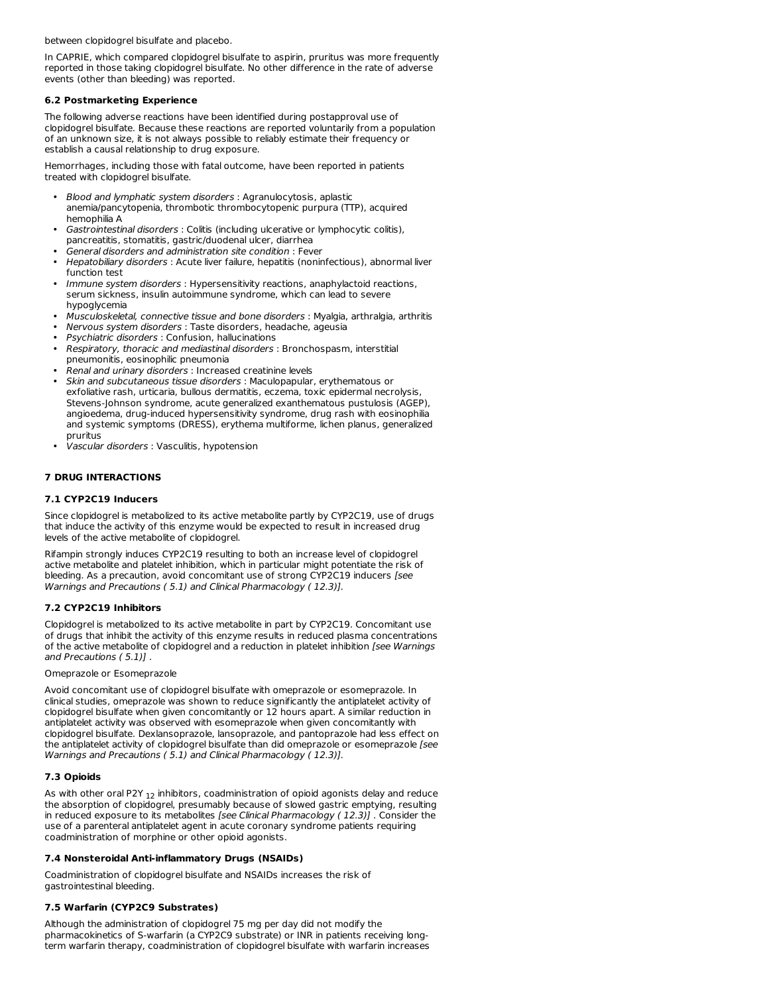between clopidogrel bisulfate and placebo.

In CAPRIE, which compared clopidogrel bisulfate to aspirin, pruritus was more frequently reported in those taking clopidogrel bisulfate. No other difference in the rate of adverse events (other than bleeding) was reported.

#### **6.2 Postmarketing Experience**

The following adverse reactions have been identified during postapproval use of clopidogrel bisulfate. Because these reactions are reported voluntarily from a population of an unknown size, it is not always possible to reliably estimate their frequency or establish a causal relationship to drug exposure.

Hemorrhages, including those with fatal outcome, have been reported in patients treated with clopidogrel bisulfate.

- Blood and lymphatic system disorders : Agranulocytosis, aplastic anemia/pancytopenia, thrombotic thrombocytopenic purpura (TTP), acquired hemophilia A
- Gastrointestinal disorders : Colitis (including ulcerative or lymphocytic colitis), pancreatitis, stomatitis, gastric/duodenal ulcer, diarrhea
- General disorders and administration site condition : Fever
- Hepatobiliary disorders : Acute liver failure, hepatitis (noninfectious), abnormal liver function test
- Immune system disorders : Hypersensitivity reactions, anaphylactoid reactions, serum sickness, insulin autoimmune syndrome, which can lead to severe hypoglycemia
- Musculoskeletal, connective tissue and bone disorders : Myalgia, arthralgia, arthritis
- Nervous system disorders : Taste disorders, headache, ageusia
- Psychiatric disorders : Confusion, hallucinations
- Respiratory, thoracic and mediastinal disorders : Bronchospasm, interstitial pneumonitis, eosinophilic pneumonia
- Renal and urinary disorders : Increased creatinine levels
- Skin and subcutaneous tissue disorders : Maculopapular, erythematous or exfoliative rash, urticaria, bullous dermatitis, eczema, toxic epidermal necrolysis, Stevens-Johnson syndrome, acute generalized exanthematous pustulosis (AGEP), angioedema, drug-induced hypersensitivity syndrome, drug rash with eosinophilia and systemic symptoms (DRESS), erythema multiforme, lichen planus, generalized pruritus
- Vascular disorders : Vasculitis, hypotension

# **7 DRUG INTERACTIONS**

# **7.1 CYP2C19 Inducers**

Since clopidogrel is metabolized to its active metabolite partly by CYP2C19, use of drugs that induce the activity of this enzyme would be expected to result in increased drug levels of the active metabolite of clopidogrel.

Rifampin strongly induces CYP2C19 resulting to both an increase level of clopidogrel active metabolite and platelet inhibition, which in particular might potentiate the risk of bleeding. As a precaution, avoid concomitant use of strong CYP2C19 inducers [see Warnings and Precautions ( 5.1) and Clinical Pharmacology ( 12.3)].

# **7.2 CYP2C19 Inhibitors**

Clopidogrel is metabolized to its active metabolite in part by CYP2C19. Concomitant use of drugs that inhibit the activity of this enzyme results in reduced plasma concentrations of the active metabolite of clopidogrel and a reduction in platelet inhibition [see Warnings] and Precautions ( 5.1)] .

### Omeprazole or Esomeprazole

Avoid concomitant use of clopidogrel bisulfate with omeprazole or esomeprazole. In clinical studies, omeprazole was shown to reduce significantly the antiplatelet activity of clopidogrel bisulfate when given concomitantly or 12 hours apart. A similar reduction in antiplatelet activity was observed with esomeprazole when given concomitantly with clopidogrel bisulfate. Dexlansoprazole, lansoprazole, and pantoprazole had less effect on the antiplatelet activity of clopidogrel bisulfate than did omeprazole or esomeprazole [see Warnings and Precautions ( 5.1) and Clinical Pharmacology ( 12.3)].

# **7.3 Opioids**

As with other oral P2Y  $_{12}$  inhibitors, coadministration of opioid agonists delay and reduce the absorption of clopidogrel, presumably because of slowed gastric emptying, resulting in reduced exposure to its metabolites [see Clinical Pharmacology (12.3)]. Consider the use of a parenteral antiplatelet agent in acute coronary syndrome patients requiring coadministration of morphine or other opioid agonists.

# **7.4 Nonsteroidal Anti-inflammatory Drugs (NSAIDs)**

Coadministration of clopidogrel bisulfate and NSAIDs increases the risk of gastrointestinal bleeding.

# **7.5 Warfarin (CYP2C9 Substrates)**

Although the administration of clopidogrel 75 mg per day did not modify the pharmacokinetics of S-warfarin (a CYP2C9 substrate) or INR in patients receiving longterm warfarin therapy, coadministration of clopidogrel bisulfate with warfarin increases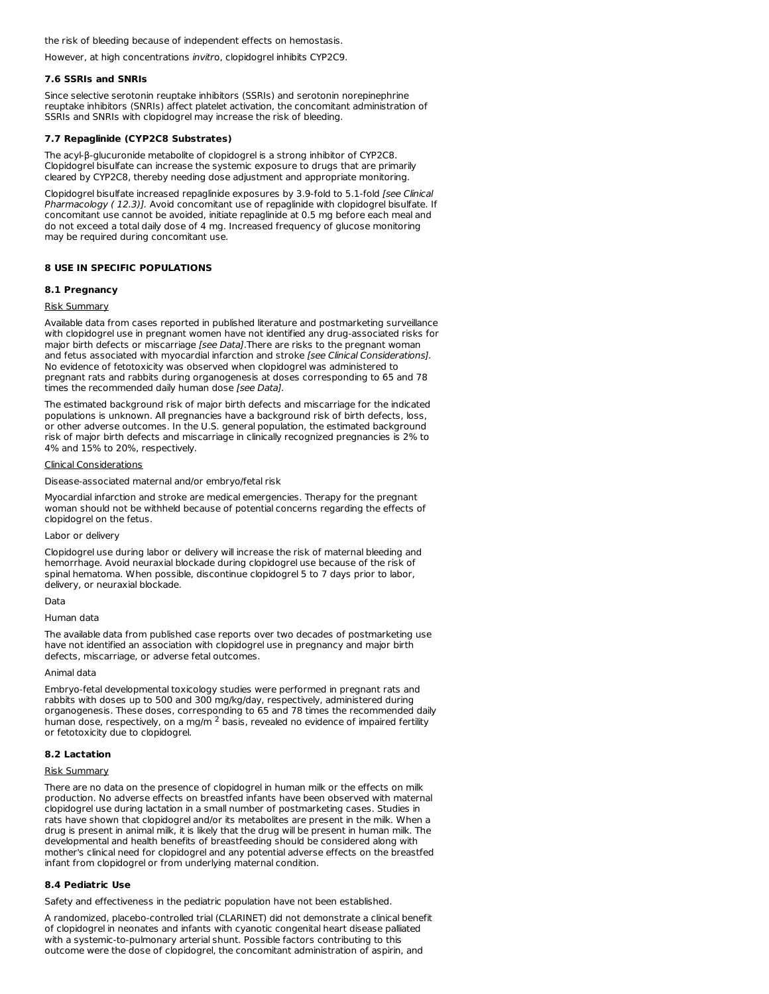the risk of bleeding because of independent effects on hemostasis.

However, at high concentrations invitro, clopidogrel inhibits CYP2C9.

#### **7.6 SSRIs and SNRIs**

Since selective serotonin reuptake inhibitors (SSRIs) and serotonin norepinephrine reuptake inhibitors (SNRIs) affect platelet activation, the concomitant administration of SSRIs and SNRIs with clopidogrel may increase the risk of bleeding.

# **7.7 Repaglinide (CYP2C8 Substrates)**

The acyl-β-glucuronide metabolite of clopidogrel is a strong inhibitor of CYP2C8. Clopidogrel bisulfate can increase the systemic exposure to drugs that are primarily cleared by CYP2C8, thereby needing dose adjustment and appropriate monitoring.

Clopidogrel bisulfate increased repaglinide exposures by 3.9-fold to 5.1-fold [see Clinical Pharmacology (12.3)]. Avoid concomitant use of repaglinide with clopidogrel bisulfate. If concomitant use cannot be avoided, initiate repaglinide at 0.5 mg before each meal and do not exceed a total daily dose of 4 mg. Increased frequency of glucose monitoring may be required during concomitant use.

# **8 USE IN SPECIFIC POPULATIONS**

### **8.1 Pregnancy**

#### Risk Summary

Available data from cases reported in published literature and postmarketing surveillance with clopidogrel use in pregnant women have not identified any drug-associated risks for major birth defects or miscarriage [see Data]. There are risks to the pregnant woman and fetus associated with myocardial infarction and stroke *[see Clinical Considerations]*. No evidence of fetotoxicity was observed when clopidogrel was administered to pregnant rats and rabbits during organogenesis at doses corresponding to 65 and 78 times the recommended daily human dose [see Data].

The estimated background risk of major birth defects and miscarriage for the indicated populations is unknown. All pregnancies have a background risk of birth defects, loss, or other adverse outcomes. In the U.S. general population, the estimated background risk of major birth defects and miscarriage in clinically recognized pregnancies is 2% to 4% and 15% to 20%, respectively.

#### Clinical Considerations

Disease-associated maternal and/or embryo/fetal risk

Myocardial infarction and stroke are medical emergencies. Therapy for the pregnant woman should not be withheld because of potential concerns regarding the effects of clopidogrel on the fetus.

# Labor or delivery

Clopidogrel use during labor or delivery will increase the risk of maternal bleeding and hemorrhage. Avoid neuraxial blockade during clopidogrel use because of the risk of spinal hematoma. When possible, discontinue clopidogrel 5 to 7 days prior to labor, delivery, or neuraxial blockade.

# Data

#### Human data

The available data from published case reports over two decades of postmarketing use have not identified an association with clopidogrel use in pregnancy and major birth defects, miscarriage, or adverse fetal outcomes.

#### Animal data

Embryo-fetal developmental toxicology studies were performed in pregnant rats and rabbits with doses up to 500 and 300 mg/kg/day, respectively, administered during organogenesis. These doses, corresponding to 65 and 78 times the recommended daily human dose, respectively, on a mg/m  $^2$  basis, revealed no evidence of impaired fertility or fetotoxicity due to clopidogrel.

#### **8.2 Lactation**

# Risk Summary

There are no data on the presence of clopidogrel in human milk or the effects on milk production. No adverse effects on breastfed infants have been observed with maternal clopidogrel use during lactation in a small number of postmarketing cases. Studies in rats have shown that clopidogrel and/or its metabolites are present in the milk. When a drug is present in animal milk, it is likely that the drug will be present in human milk. The developmental and health benefits of breastfeeding should be considered along with mother's clinical need for clopidogrel and any potential adverse effects on the breastfed infant from clopidogrel or from underlying maternal condition.

# **8.4 Pediatric Use**

Safety and effectiveness in the pediatric population have not been established.

A randomized, placebo-controlled trial (CLARINET) did not demonstrate a clinical benefit of clopidogrel in neonates and infants with cyanotic congenital heart disease palliated with a systemic-to-pulmonary arterial shunt. Possible factors contributing to this outcome were the dose of clopidogrel, the concomitant administration of aspirin, and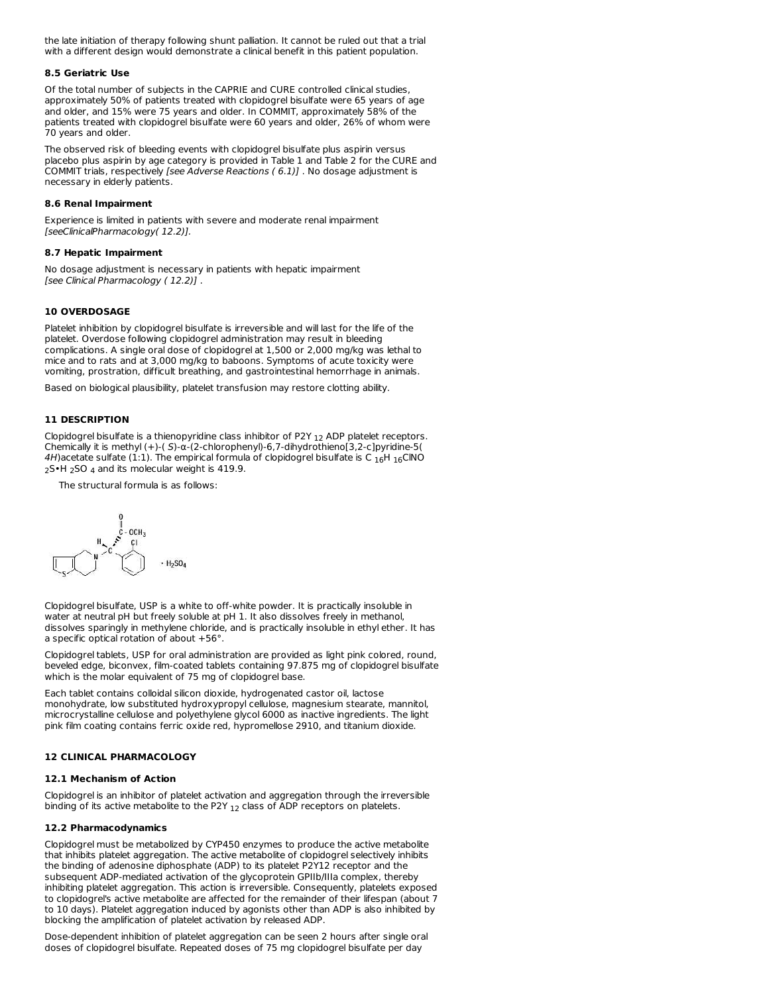the late initiation of therapy following shunt palliation. It cannot be ruled out that a trial with a different design would demonstrate a clinical benefit in this patient population.

#### **8.5 Geriatric Use**

Of the total number of subjects in the CAPRIE and CURE controlled clinical studies, approximately 50% of patients treated with clopidogrel bisulfate were 65 years of age and older, and 15% were 75 years and older. In COMMIT, approximately 58% of the patients treated with clopidogrel bisulfate were 60 years and older, 26% of whom were 70 years and older.

The observed risk of bleeding events with clopidogrel bisulfate plus aspirin versus placebo plus aspirin by age category is provided in Table 1 and Table 2 for the CURE and COMMIT trials, respectively [see Adverse Reactions ( 6.1)] . No dosage adjustment is necessary in elderly patients.

### **8.6 Renal Impairment**

Experience is limited in patients with severe and moderate renal impairment [seeClinicalPharmacology( 12.2)].

# **8.7 Hepatic Impairment**

No dosage adjustment is necessary in patients with hepatic impairment [see Clinical Pharmacology ( 12.2)] .

# **10 OVERDOSAGE**

Platelet inhibition by clopidogrel bisulfate is irreversible and will last for the life of the platelet. Overdose following clopidogrel administration may result in bleeding complications. A single oral dose of clopidogrel at 1,500 or 2,000 mg/kg was lethal to mice and to rats and at 3,000 mg/kg to baboons. Symptoms of acute toxicity were vomiting, prostration, difficult breathing, and gastrointestinal hemorrhage in animals.

Based on biological plausibility, platelet transfusion may restore clotting ability.

# **11 DESCRIPTION**

Clopidogrel bisulfate is a thienopyridine class inhibitor of P2Y  $_{12}$  ADP platelet receptors. Chemically it is methyl (+)-( S)-α-(2-chlorophenyl)-6,7-dihydrothieno[3,2-c]pyridine-5( 4H)acetate sulfate (1:1). The empirical formula of clopidogrel bisulfate is C  $_{\rm 16}$ H  $_{\rm 16}$ ClNO  $_{2}$ S•H  $_{2}$ SO  $_{4}$  and its molecular weight is 419.9.

The structural formula is as follows:



Clopidogrel bisulfate, USP is a white to off-white powder. It is practically insoluble in water at neutral pH but freely soluble at pH 1. It also dissolves freely in methanol, dissolves sparingly in methylene chloride, and is practically insoluble in ethyl ether. It has a specific optical rotation of about +56°.

Clopidogrel tablets, USP for oral administration are provided as light pink colored, round, beveled edge, biconvex, film-coated tablets containing 97.875 mg of clopidogrel bisulfate which is the molar equivalent of 75 mg of clopidogrel base.

Each tablet contains colloidal silicon dioxide, hydrogenated castor oil, lactose monohydrate, low substituted hydroxypropyl cellulose, magnesium stearate, mannitol, microcrystalline cellulose and polyethylene glycol 6000 as inactive ingredients. The light pink film coating contains ferric oxide red, hypromellose 2910, and titanium dioxide.

# **12 CLINICAL PHARMACOLOGY**

# **12.1 Mechanism of Action**

Clopidogrel is an inhibitor of platelet activation and aggregation through the irreversible binding of its active metabolite to the P2Y  $_{12}$  class of ADP receptors on platelets.

# **12.2 Pharmacodynamics**

Clopidogrel must be metabolized by CYP450 enzymes to produce the active metabolite that inhibits platelet aggregation. The active metabolite of clopidogrel selectively inhibits the binding of adenosine diphosphate (ADP) to its platelet P2Y12 receptor and the subsequent ADP-mediated activation of the glycoprotein GPIIb/IIIa complex, thereby inhibiting platelet aggregation. This action is irreversible. Consequently, platelets exposed to clopidogrel's active metabolite are affected for the remainder of their lifespan (about 7 to 10 days). Platelet aggregation induced by agonists other than ADP is also inhibited by blocking the amplification of platelet activation by released ADP.

Dose-dependent inhibition of platelet aggregation can be seen 2 hours after single oral doses of clopidogrel bisulfate. Repeated doses of 75 mg clopidogrel bisulfate per day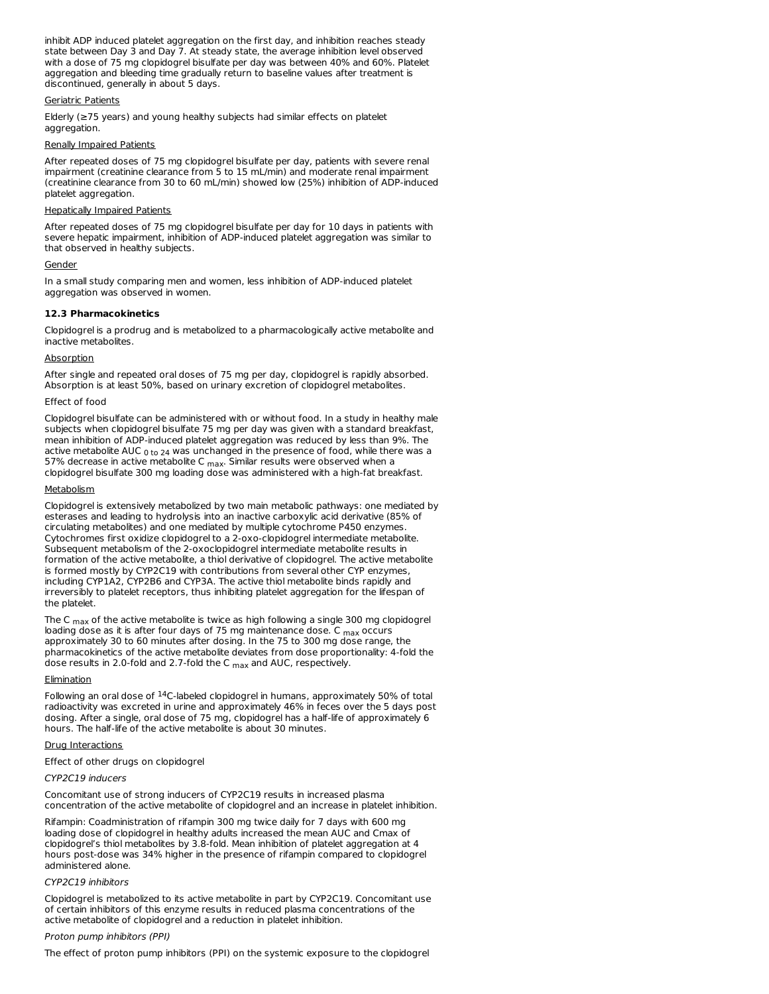inhibit ADP induced platelet aggregation on the first day, and inhibition reaches steady state between Day 3 and Day 7. At steady state, the average inhibition level observed with a dose of 75 mg clopidogrel bisulfate per day was between 40% and 60%. Platelet aggregation and bleeding time gradually return to baseline values after treatment is discontinued, generally in about 5 days.

# Geriatric Patients

Elderly (≥75 years) and young healthy subjects had similar effects on platelet aggregation.

# Renally Impaired Patients

After repeated doses of 75 mg clopidogrel bisulfate per day, patients with severe renal impairment (creatinine clearance from 5 to 15 mL/min) and moderate renal impairment (creatinine clearance from 30 to 60 mL/min) showed low (25%) inhibition of ADP-induced platelet aggregation.

# Hepatically Impaired Patients

After repeated doses of 75 mg clopidogrel bisulfate per day for 10 days in patients with severe hepatic impairment, inhibition of ADP-induced platelet aggregation was similar to that observed in healthy subjects.

### Gender

In a small study comparing men and women, less inhibition of ADP-induced platelet aggregation was observed in women.

### **12.3 Pharmacokinetics**

Clopidogrel is a prodrug and is metabolized to a pharmacologically active metabolite and inactive metabolites.

# **Absorption**

After single and repeated oral doses of 75 mg per day, clopidogrel is rapidly absorbed. Absorption is at least 50%, based on urinary excretion of clopidogrel metabolites.

# Effect of food

Clopidogrel bisulfate can be administered with or without food. In a study in healthy male subjects when clopidogrel bisulfate 75 mg per day was given with a standard breakfast, mean inhibition of ADP-induced platelet aggregation was reduced by less than 9%. The active metabolite AUC  $_{\rm 0 \ to \ 24}$  was unchanged in the presence of food, while there was a 57% decrease in active metabolite C <sub>max</sub>. Similar results were observed when a clopidogrel bisulfate 300 mg loading dose was administered with a high-fat breakfast.

### **Metabolism**

Clopidogrel is extensively metabolized by two main metabolic pathways: one mediated by esterases and leading to hydrolysis into an inactive carboxylic acid derivative (85% of circulating metabolites) and one mediated by multiple cytochrome P450 enzymes. Cytochromes first oxidize clopidogrel to a 2-oxo-clopidogrel intermediate metabolite. Subsequent metabolism of the 2-oxoclopidogrel intermediate metabolite results in formation of the active metabolite, a thiol derivative of clopidogrel. The active metabolite is formed mostly by CYP2C19 with contributions from several other CYP enzymes, including CYP1A2, CYP2B6 and CYP3A. The active thiol metabolite binds rapidly and irreversibly to platelet receptors, thus inhibiting platelet aggregation for the lifespan of the platelet.

The C  $_{\sf max}$  of the active metabolite is twice as high following a single 300 mg clopidogrel loading dose as it is after four days of 75 mg maintenance dose. C  $_{\sf max}$  occurs approximately 30 to 60 minutes after dosing. In the 75 to 300 mg dose range, the pharmacokinetics of the active metabolite deviates from dose proportionality: 4-fold the dose results in 2.0-fold and 2.7-fold the C  $_{\rm max}$  and AUC, respectively.

# Elimination

Following an oral dose of  $14C$ -labeled clopidogrel in humans, approximately 50% of total radioactivity was excreted in urine and approximately 46% in feces over the 5 days post dosing. After a single, oral dose of 75 mg, clopidogrel has a half-life of approximately 6 hours. The half-life of the active metabolite is about 30 minutes.

# Drug Interactions

Effect of other drugs on clopidogrel

# CYP2C19 inducers

Concomitant use of strong inducers of CYP2C19 results in increased plasma concentration of the active metabolite of clopidogrel and an increase in platelet inhibition.

Rifampin: Coadministration of rifampin 300 mg twice daily for 7 days with 600 mg loading dose of clopidogrel in healthy adults increased the mean AUC and Cmax of clopidogrel's thiol metabolites by 3.8-fold. Mean inhibition of platelet aggregation at 4 hours post-dose was 34% higher in the presence of rifampin compared to clopidogrel administered alone.

# CYP2C19 inhibitors

Clopidogrel is metabolized to its active metabolite in part by CYP2C19. Concomitant use of certain inhibitors of this enzyme results in reduced plasma concentrations of the active metabolite of clopidogrel and a reduction in platelet inhibition.

# Proton pump inhibitors (PPI)

The effect of proton pump inhibitors (PPI) on the systemic exposure to the clopidogrel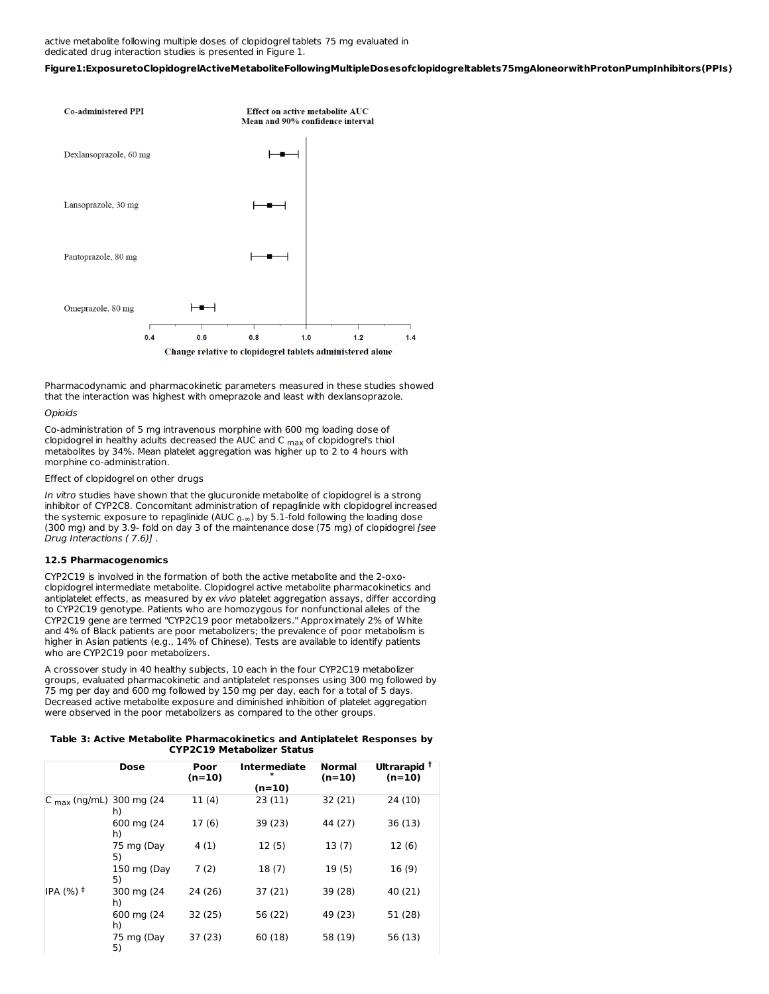active metabolite following multiple doses of clopidogrel tablets 75 mg evaluated in dedicated drug interaction studies is presented in Figure 1.

**Figure1:ExposuretoClopidogrelActiveMetaboliteFollowingMultipleDosesofclopidogreltablets75mgAloneorwithProtonPumpInhibitors(PPIs)**



Pharmacodynamic and pharmacokinetic parameters measured in these studies showed that the interaction was highest with omeprazole and least with dexlansoprazole.

#### **Opioids**

Co-administration of 5 mg intravenous morphine with 600 mg loading dose of clopidogrel in healthy adults decreased the AUC and C  $_{\sf max}$  of clopidogrel's thiol metabolites by 34%. Mean platelet aggregation was higher up to 2 to 4 hours with morphine co-administration.

Effect of clopidogrel on other drugs

In vitro studies have shown that the glucuronide metabolite of clopidogrel is a strong inhibitor of CYP2C8. Concomitant administration of repaglinide with clopidogrel increased the systemic exposure to repaglinide (AUC  $_{0-\infty}$ ) by 5.1-fold following the loading dose (300 mg) and by 3.9- fold on day 3 of the maintenance dose (75 mg) of clopidogrel [see Drug Interactions ( 7.6)] .

# **12.5 Pharmacogenomics**

CYP2C19 is involved in the formation of both the active metabolite and the 2-oxoclopidogrel intermediate metabolite. Clopidogrel active metabolite pharmacokinetics and antiplatelet effects, as measured by ex vivo platelet aggregation assays, differ according to CYP2C19 genotype. Patients who are homozygous for nonfunctional alleles of the CYP2C19 gene are termed "CYP2C19 poor metabolizers." Approximately 2% of White and 4% of Black patients are poor metabolizers; the prevalence of poor metabolism is higher in Asian patients (e.g., 14% of Chinese). Tests are available to identify patients who are CYP2C19 poor metabolizers.

A crossover study in 40 healthy subjects, 10 each in the four CYP2C19 metabolizer groups, evaluated pharmacokinetic and antiplatelet responses using 300 mg followed by 75 mg per day and 600 mg followed by 150 mg per day, each for a total of 5 days. Decreased active metabolite exposure and diminished inhibition of platelet aggregation were observed in the poor metabolizers as compared to the other groups.

### **Table 3: Active Metabolite Pharmacokinetics and Antiplatelet Responses by CYP2C19 Metabolizer Status**

|                                     | Dose              | Poor<br>$(n=10)$ | <b>Intermediate</b><br>* | <b>Normal</b><br>$(n=10)$ | Ultrarapid <sup>†</sup><br>$(n=10)$ |
|-------------------------------------|-------------------|------------------|--------------------------|---------------------------|-------------------------------------|
|                                     |                   |                  | $(n=10)$                 |                           |                                     |
| $ C_{\text{max}}(ng/mL)$ 300 mg (24 | h)                | 11(4)            | 23(11)                   | 32(21)                    | 24 (10)                             |
|                                     | 600 mg (24<br>h)  | 17(6)            | 39 (23)                  | 44 (27)                   | 36 (13)                             |
|                                     | 75 mg (Day<br>5)  | 4(1)             | 12(5)                    | 13(7)                     | 12(6)                               |
|                                     | 150 mg (Day<br>5) | 7(2)             | 18(7)                    | 19(5)                     | 16(9)                               |
| IPA $(%)$ ‡                         | 300 mg (24<br>h)  | 24 (26)          | 37 (21)                  | 39 (28)                   | 40 (21)                             |
|                                     | 600 mg (24<br>h)  | 32 (25)          | 56 (22)                  | 49 (23)                   | 51 (28)                             |
|                                     | 75 mg (Day<br>5)  | 37 (23)          | 60 (18)                  | 58 (19)                   | 56 (13)                             |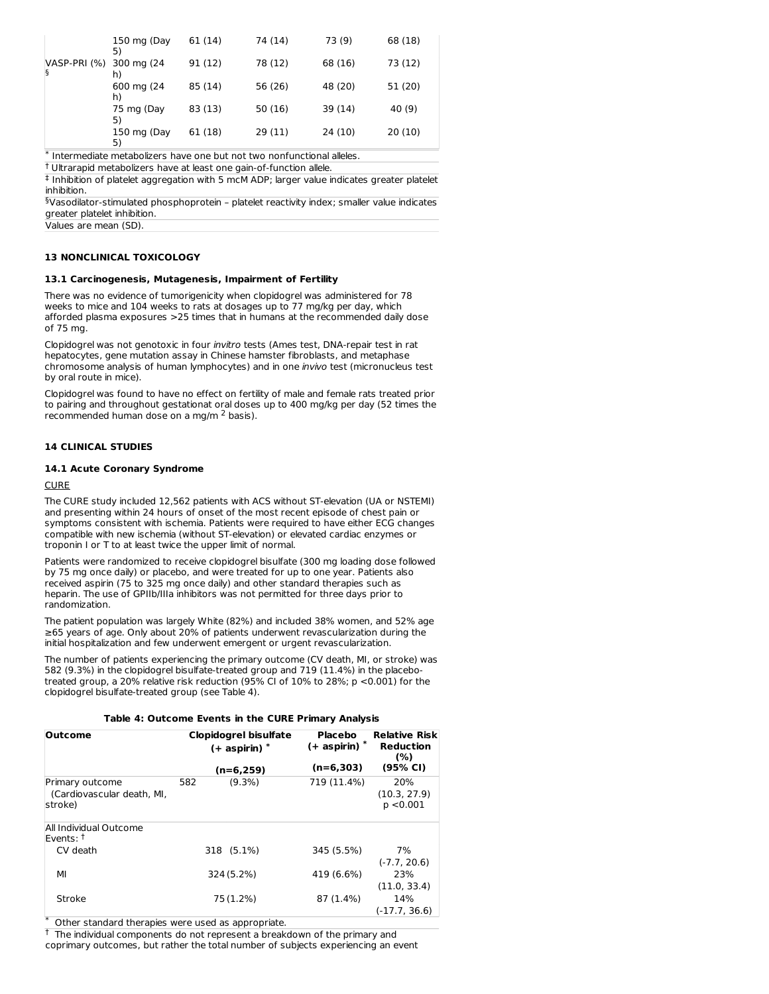|                   | 150 mg (Day<br>5) | 61 (14) | 74 (14) | 73 (9)  | 68 (18) |
|-------------------|-------------------|---------|---------|---------|---------|
| VASP-PRI (%)<br>§ | 300 mg (24<br>h)  | 91 (12) | 78 (12) | 68 (16) | 73 (12) |
|                   | 600 mg (24<br>h)  | 85 (14) | 56 (26) | 48 (20) | 51 (20) |
|                   | 75 mg (Day<br>5)  | 83 (13) | 50(16)  | 39 (14) | 40 (9)  |
|                   | 150 mg (Day<br>5) | 61 (18) | 29(11)  | 24(10)  | 20(10)  |

\* Intermediate metabolizers have one but not two nonfunctional alleles.

Ultrarapid metabolizers have at least one gain-of-function allele. †

‡ Inhibition of platelet aggregation with 5 mcM ADP; larger value indicates greater platelet inhibition.

 $\delta$ Vasodilator-stimulated phosphoprotein – platelet reactivity index; smaller value indicates greater platelet inhibition.

Values are mean (SD).

# **13 NONCLINICAL TOXICOLOGY**

### **13.1 Carcinogenesis, Mutagenesis, Impairment of Fertility**

There was no evidence of tumorigenicity when clopidogrel was administered for 78 weeks to mice and 104 weeks to rats at dosages up to 77 mg/kg per day, which afforded plasma exposures >25 times that in humans at the recommended daily dose of 75 mg.

Clopidogrel was not genotoxic in four invitro tests (Ames test, DNA-repair test in rat hepatocytes, gene mutation assay in Chinese hamster fibroblasts, and metaphase chromosome analysis of human lymphocytes) and in one invivo test (micronucleus test by oral route in mice).

Clopidogrel was found to have no effect on fertility of male and female rats treated prior to pairing and throughout gestationat oral doses up to 400 mg/kg per day (52 times the recommended human dose on a mg/m  $2$  basis).

# **14 CLINICAL STUDIES**

### **14.1 Acute Coronary Syndrome**

# **CURE**

The CURE study included 12,562 patients with ACS without ST-elevation (UA or NSTEMI) and presenting within 24 hours of onset of the most recent episode of chest pain or symptoms consistent with ischemia. Patients were required to have either ECG changes compatible with new ischemia (without ST-elevation) or elevated cardiac enzymes or troponin I or T to at least twice the upper limit of normal.

Patients were randomized to receive clopidogrel bisulfate (300 mg loading dose followed by 75 mg once daily) or placebo, and were treated for up to one year. Patients also received aspirin (75 to 325 mg once daily) and other standard therapies such as heparin. The use of GPIIb/IIIa inhibitors was not permitted for three days prior to randomization.

The patient population was largely White (82%) and included 38% women, and 52% age ≥65 years of age. Only about 20% of patients underwent revascularization during the initial hospitalization and few underwent emergent or urgent revascularization.

The number of patients experiencing the primary outcome (CV death, MI, or stroke) was 582 (9.3%) in the clopidogrel bisulfate-treated group and 719 (11.4%) in the placebotreated group, a 20% relative risk reduction (95% CI of 10% to 28%; p <0.001) for the clopidogrel bisulfate-treated group (see Table 4).

# **Table 4: Outcome Events in the CURE Primary Analysis**

| <b>Outcome</b>                                           | <b>Clopidogrel bisulfate</b><br>$(+$ aspirin) $*$ |             | <b>Placebo</b><br>$(+$ aspirin) $*$ | <b>Relative Risk</b><br><b>Reduction</b><br>(%) |
|----------------------------------------------------------|---------------------------------------------------|-------------|-------------------------------------|-------------------------------------------------|
|                                                          |                                                   | $(n=6,259)$ | $(n=6,303)$                         | (95% CI)                                        |
| Primary outcome<br>(Cardiovascular death, MI,<br>stroke) | 582                                               | $(9.3\%)$   | 719 (11.4%)                         | 20%<br>(10.3, 27.9)<br>p < 0.001                |
| All Individual Outcome<br>Events: <sup>†</sup>           |                                                   |             |                                     |                                                 |
| CV death                                                 |                                                   | 318 (5.1%)  | 345 (5.5%)                          | 7%<br>$(-7.7, 20.6)$                            |
| МI                                                       |                                                   | 324 (5.2%)  | 419 (6.6%)                          | 23%<br>(11.0, 33.4)                             |
| Stroke<br>$\mathbf{u} = \mathbf{v}$                      |                                                   | 75 (1.2%)   | 87 (1.4%)                           | 14%<br>$(-17.7, 36.6)$                          |

Other standard therapies were used as appropriate. \*

 $^\dagger$  The individual components do not represent a breakdown of the primary and coprimary outcomes, but rather the total number of subjects experiencing an event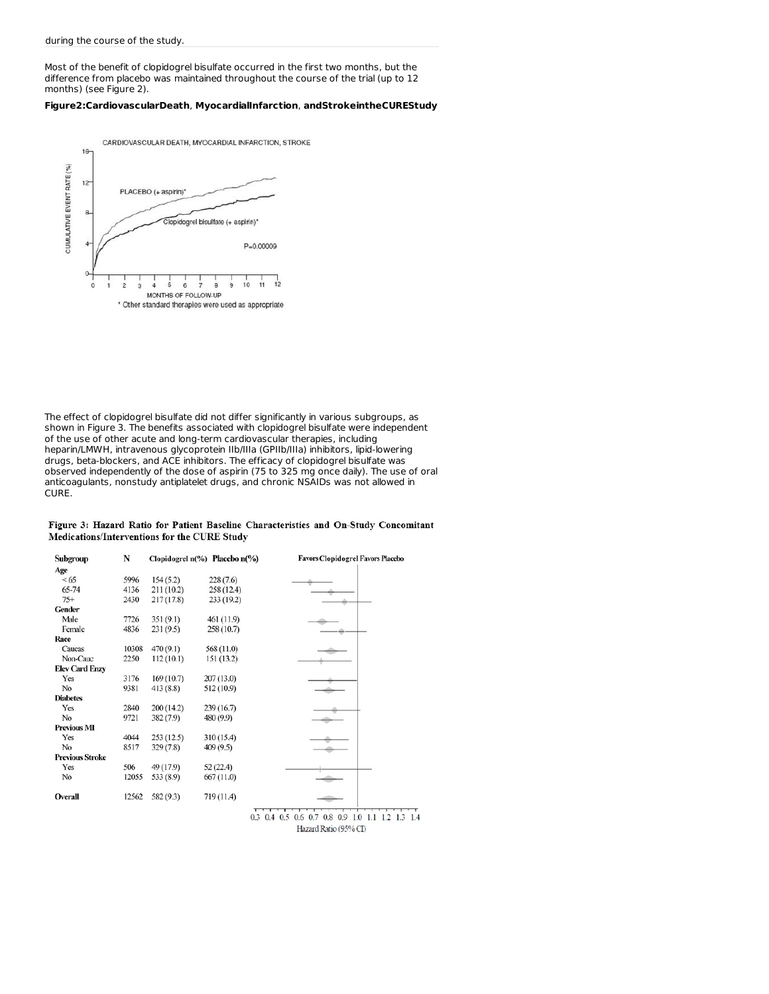Most of the benefit of clopidogrel bisulfate occurred in the first two months, but the difference from placebo was maintained throughout the course of the trial (up to 12 months) (see Figure 2).

# **Figure2:CardiovascularDeath**, **MyocardialInfarction**, **andStrokeintheCUREStudy**



The effect of clopidogrel bisulfate did not differ significantly in various subgroups, as shown in Figure 3. The benefits associated with clopidogrel bisulfate were independent of the use of other acute and long-term cardiovascular therapies, including heparin/LMWH, intravenous glycoprotein IIb/IIIa (GPIIb/IIIa) inhibitors, lipid-lowering drugs, beta-blockers, and ACE inhibitors. The efficacy of clopidogrel bisulfate was observed independently of the dose of aspirin (75 to 325 mg once daily). The use of oral anticoagulants, nonstudy antiplatelet drugs, and chronic NSAIDs was not allowed in CURE.

# Figure 3: Hazard Ratio for Patient Baseline Characteristics and On-Study Concomitant Medications/Interventions for the CURE Study

| Subgroup               | N     |            | Clopidogrel $n$ <sup>(%</sup> ) Placebo $n$ <sup>(%</sup> ) | <b>Favors Clopidogrel Favors Placebo</b> |
|------------------------|-------|------------|-------------------------------------------------------------|------------------------------------------|
| Age                    |       |            |                                                             |                                          |
| <65                    | 5996  | 154(5.2)   | 228(7.6)                                                    |                                          |
| 65-74                  | 4136  | 211 (10.2) | 258 (12.4)                                                  |                                          |
| $75+$                  | 2430  | 217(17.8)  | 233(19.2)                                                   |                                          |
| Gender                 |       |            |                                                             |                                          |
| Male                   | 7726  | 351(9.1)   | 461 (11.9)                                                  |                                          |
| Female                 | 4836  | 231(9.5)   | 258 (10.7)                                                  |                                          |
| Race                   |       |            |                                                             |                                          |
| Caucas                 | 10308 | 470(9.1)   | 568 (11.0)                                                  |                                          |
| Non-Cauc               | 2250  | 112(10.1)  | 151 (13.2)                                                  |                                          |
| <b>Elev Card Enzy</b>  |       |            |                                                             |                                          |
| Yes                    | 3176  | 169(10.7)  | 207(13.0)                                                   |                                          |
| No                     | 9381  | 413(8.8)   | 512 (10.9)                                                  |                                          |
| <b>Diabetes</b>        |       |            |                                                             |                                          |
| Yes                    | 2840  | 200(14.2)  | 239 (16.7)                                                  |                                          |
| No                     | 9721  | 382(7.9)   | 480 (9.9)                                                   |                                          |
| <b>Previous MI</b>     |       |            |                                                             |                                          |
| Yes                    | 4044  | 253(12.5)  | 310 (15.4)                                                  |                                          |
| No                     | 8517  | 329(7.8)   | 409(9.5)                                                    |                                          |
| <b>Previous Stroke</b> |       |            |                                                             |                                          |
| Yes                    | 506   | 49 (17.9)  | 52(22.4)                                                    |                                          |
| No                     | 12055 | 533 (8.9)  | 667(11.0)                                                   |                                          |
| Overall                | 12562 | 582 (9.3)  | 719 (11.4)                                                  |                                          |
|                        |       |            |                                                             | ┯                                        |

0.3 0.4 0.5 0.6 0.7 0.8 0.9 1.0 1.1 1.2 1.3 1.4 Hazard Ratio (95% CI)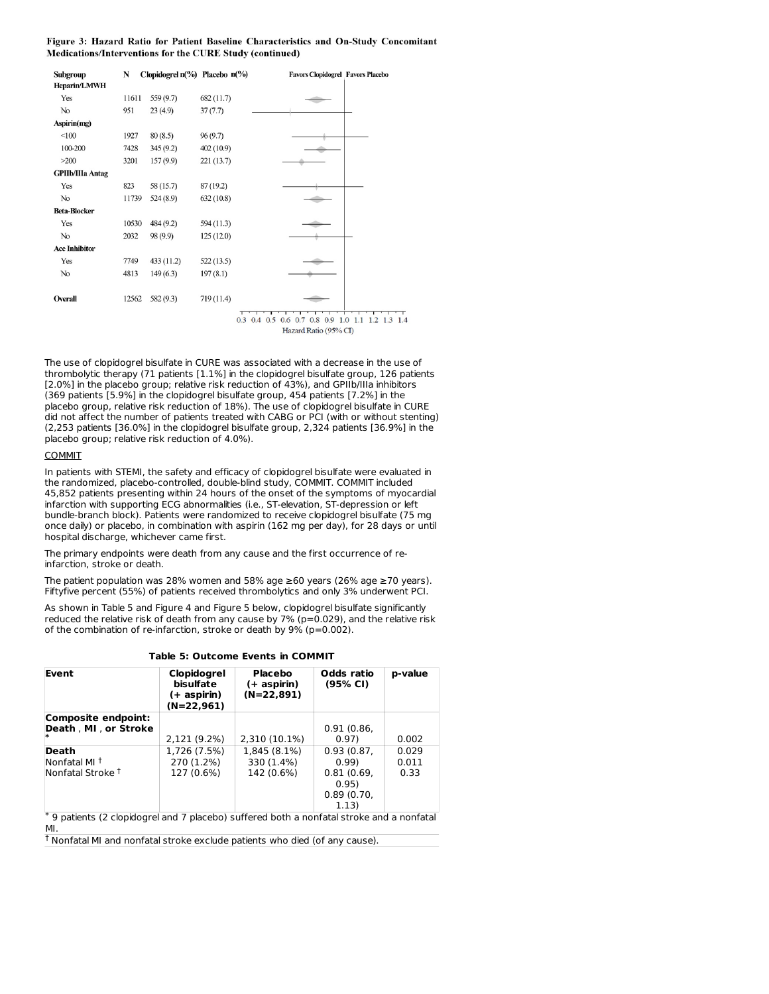# Figure 3: Hazard Ratio for Patient Baseline Characteristics and On-Study Concomitant Medications/Interventions for the CURE Study (continued)

| Subgroup                | N     | Clopidogrel $n$ <sup>(%</sup> ) Placebo $n$ <sup>(%</sup> ) |            | <b>Favors Clopidogrel Favors Placebo</b>                                             |
|-------------------------|-------|-------------------------------------------------------------|------------|--------------------------------------------------------------------------------------|
| <b>Heparin/LMWH</b>     |       |                                                             |            |                                                                                      |
| Yes                     | 11611 | 559 (9.7)                                                   | 682 (11.7) |                                                                                      |
| No                      | 951   | 23(4.9)                                                     | 37(7.7)    |                                                                                      |
| Aspirin(mg)             |       |                                                             |            |                                                                                      |
| <100                    | 1927  | 80(8.5)                                                     | 96(9.7)    |                                                                                      |
| 100-200                 | 7428  | 345(9.2)                                                    | 402 (10.9) |                                                                                      |
| >200                    | 3201  | 157(9.9)                                                    | 221 (13.7) |                                                                                      |
| <b>GPIIb/IIIa Antag</b> |       |                                                             |            |                                                                                      |
| Yes                     | 823   | 58 (15.7)                                                   | 87(19.2)   |                                                                                      |
| No                      | 11739 | 524(8.9)                                                    | 632(10.8)  |                                                                                      |
| <b>Beta-Blocker</b>     |       |                                                             |            |                                                                                      |
| Yes                     | 10530 | 484(9.2)                                                    | 594 (11.3) |                                                                                      |
| No                      | 2032  | 98 (9.9)                                                    | 125 (12.0) |                                                                                      |
| <b>Ace Inhibitor</b>    |       |                                                             |            |                                                                                      |
| Yes                     | 7749  | 433(11.2)                                                   | 522(13.5)  |                                                                                      |
| No                      | 4813  | 149(6.3)                                                    | 197(8.1)   |                                                                                      |
|                         |       |                                                             |            |                                                                                      |
| Overall                 | 12562 | 582 (9.3)                                                   | 719 (11.4) |                                                                                      |
|                         |       |                                                             |            |                                                                                      |
|                         |       |                                                             |            | $0.3$ 0.4 0.5 0.6 0.7 0.8<br>0.9<br>1.3<br>1.4<br>$\overline{2}$<br>1.0<br>1.1<br>1. |

Hazard Ratio (95% CI)

The use of clopidogrel bisulfate in CURE was associated with a decrease in the use of thrombolytic therapy (71 patients [1.1%] in the clopidogrel bisulfate group, 126 patients [2.0%] in the placebo group; relative risk reduction of 43%), and GPIIb/IIIa inhibitors (369 patients [5.9%] in the clopidogrel bisulfate group, 454 patients [7.2%] in the placebo group, relative risk reduction of 18%). The use of clopidogrel bisulfate in CURE did not affect the number of patients treated with CABG or PCI (with or without stenting) (2,253 patients [36.0%] in the clopidogrel bisulfate group, 2,324 patients [36.9%] in the placebo group; relative risk reduction of 4.0%).

# COMMIT

In patients with STEMI, the safety and efficacy of clopidogrel bisulfate were evaluated in the randomized, placebo-controlled, double-blind study, COMMIT. COMMIT included 45,852 patients presenting within 24 hours of the onset of the symptoms of myocardial infarction with supporting ECG abnormalities (i.e., ST-elevation, ST-depression or left bundle-branch block). Patients were randomized to receive clopidogrel bisulfate (75 mg once daily) or placebo, in combination with aspirin (162 mg per day), for 28 days or until hospital discharge, whichever came first.

The primary endpoints were death from any cause and the first occurrence of reinfarction, stroke or death.

The patient population was 28% women and 58% age ≥60 years (26% age ≥70 years). Fiftyfive percent (55%) of patients received thrombolytics and only 3% underwent PCI.

As shown in Table 5 and Figure 4 and Figure 5 below, clopidogrel bisulfate significantly reduced the relative risk of death from any cause by  $7\%$  (p=0.029), and the relative risk of the combination of re-infarction, stroke or death by 9% (p=0.002).

**Table 5: Outcome Events in COMMIT**

| Event                                                                                   | Clopidogrel<br>bisulfate<br>(+ aspirin)<br>(N=22,961) | Placebo<br>(+ aspirin)<br>$(N=22,891)$   | Odds ratio<br>(95% CI)                                           | p-value                |
|-----------------------------------------------------------------------------------------|-------------------------------------------------------|------------------------------------------|------------------------------------------------------------------|------------------------|
| Composite endpoint:<br>Death, MI, or Stroke                                             |                                                       |                                          | 0.91(0.86,                                                       |                        |
|                                                                                         | 2,121 (9.2%)                                          | 2,310 (10.1%)                            | 0.97)                                                            | 0.002                  |
| Death<br>Nonfatal MI <sup>t</sup><br>Nonfatal Stroke <sup>†</sup>                       | 1,726 (7.5%)<br>270 (1.2%)<br>127 (0.6%)              | 1,845 (8.1%)<br>330 (1.4%)<br>142 (0.6%) | 0.93(0.87,<br>0.99<br>0.81(0.69,<br>0.95)<br>0.89(0.70,<br>1.13) | 0.029<br>0.011<br>0.33 |
| 9 patients (2 clopidogrel and 7 placebo) suffered both a nonfatal stroke and a nonfatal |                                                       |                                          |                                                                  |                        |

MI.

<sup>†</sup> Nonfatal MI and nonfatal stroke exclude patients who died (of any cause).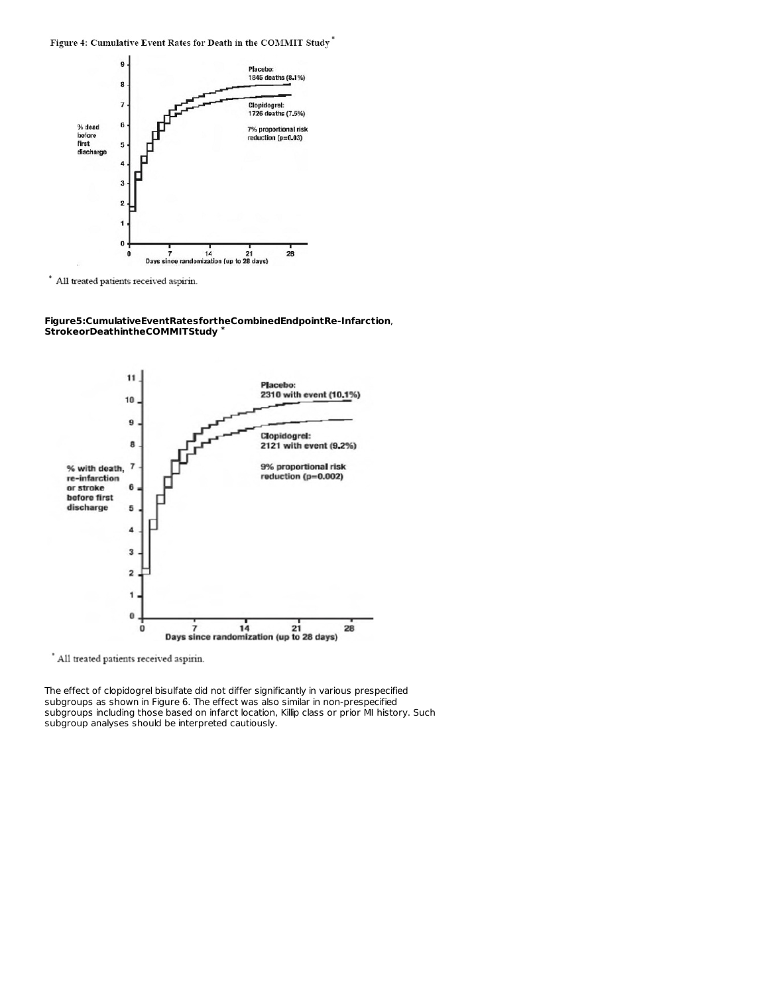Figure 4: Cumulative Event Rates for Death in the COMMIT Study\*



All treated patients received aspirin.

**Figure5:CumulativeEventRatesfortheCombinedEndpointRe-Infarction**, **StrokeorDeathintheCOMMITStudy \***



\* All treated patients received aspirin.

The effect of clopidogrel bisulfate did not differ significantly in various prespecified subgroups as shown in Figure 6. The effect was also similar in non-prespecified subgroups including those based on infarct location, Killip class or prior MI history. Such subgroup analyses should be interpreted cautiously.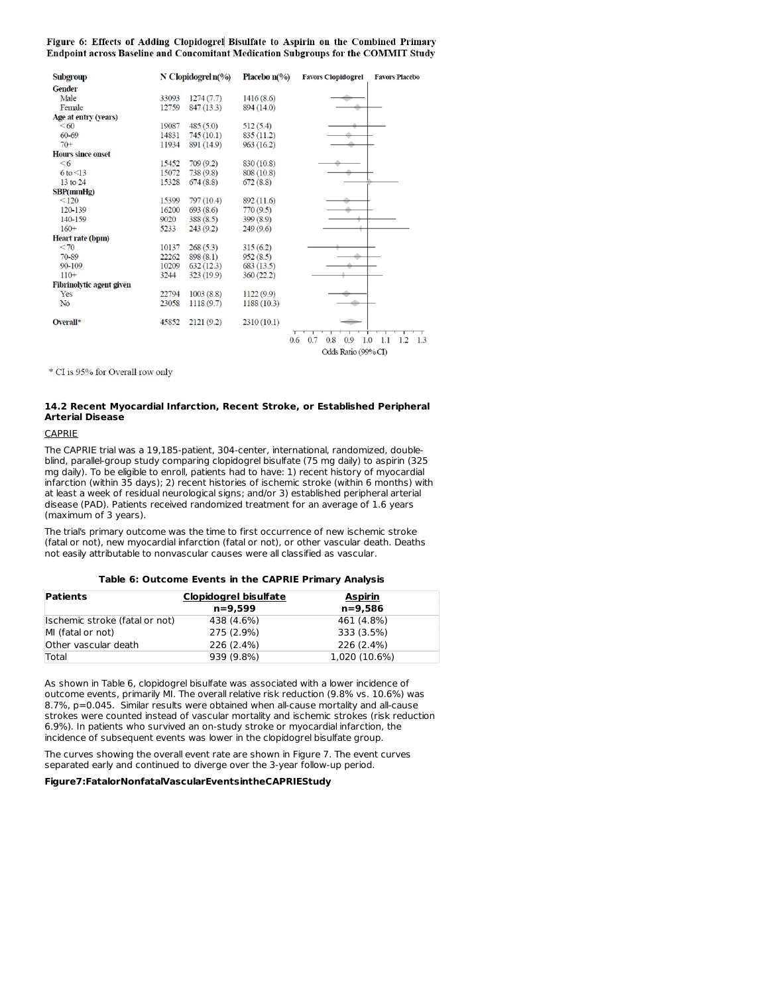Figure 6: Effects of Adding Clopidogrel Bisulfate to Aspirin on the Combined Primary Endpoint across Baseline and Concomitant Medication Subgroups for the COMMIT Study

| Subgroup                 |       | N Clopidogrel $n$ <sup>(%)</sup> | <b>Placebo</b> $n\llap/$ <sub>20</sub> | <b>Favors Clopidogrel</b>       | <b>Favors Placebo</b> |
|--------------------------|-------|----------------------------------|----------------------------------------|---------------------------------|-----------------------|
| <b>Gender</b>            |       |                                  |                                        |                                 |                       |
| Male                     | 33093 | 1274(7.7)                        | 1416(8.6)                              |                                 |                       |
| Female                   | 12759 | 847(13.3)                        | 894 (14.0)                             |                                 |                       |
| Age at entry (years)     |       |                                  |                                        |                                 |                       |
| <60                      | 19087 | 485(5.0)                         | 512(5.4)                               |                                 |                       |
| $60 - 69$                | 14831 | 745(10.1)                        | 835(11.2)                              |                                 |                       |
| $70+$                    | 11934 | 891 (14.9)                       | 963 (16.2)                             |                                 |                       |
| <b>Hours since onset</b> |       |                                  |                                        |                                 |                       |
| <6                       | 15452 | 709(9.2)                         | 830 (10.8)                             |                                 |                       |
| $6$ to $\leq$ 13         | 15072 | 738 (9.8)                        | 808 (10.8)                             |                                 |                       |
| 13 to 24                 | 15328 | 674(8.8)                         | 672(8.8)                               |                                 |                       |
| SBP(mmHg)                |       |                                  |                                        |                                 |                       |
| < 120                    | 15399 | 797 (10.4)                       | 892 (11.6)                             |                                 |                       |
| 120-139                  | 16200 | 693(8.6)                         | 770(9.5)                               |                                 |                       |
| 140-159                  | 9020  | 388(8.5)                         | 399(8.9)                               |                                 |                       |
| $160+$                   | 5233  | 243(9.2)                         | 249(9.6)                               |                                 |                       |
| Heart rate (bpm)         |       |                                  |                                        |                                 |                       |
| < 70                     | 10137 | 268(5.3)                         | 315(6.2)                               |                                 |                       |
| 70-89                    | 22262 | 898(8.1)                         | 952(8.5)                               |                                 |                       |
| $90 - 109$               | 10209 | 632(12.3)                        | 683(13.5)                              |                                 |                       |
| $110+$                   | 3244  | 323(19.9)                        | 360(22.2)                              |                                 |                       |
| Fibrinolytic agent given |       |                                  |                                        |                                 |                       |
| Yes                      | 22794 | 1003(8.8)                        | 1122 (9.9)                             |                                 |                       |
| No                       | 23058 | 1118(9.7)                        | 1188 (10.3)                            |                                 |                       |
| Overall*                 | 45852 | 2121(9.2)                        | 2310(10.1)                             |                                 |                       |
|                          |       |                                  |                                        | 0.7<br>0.6<br>0.8<br>0.9<br>1.0 | 1.1<br>1.2<br>1.3     |
|                          |       |                                  |                                        | Odds Ratio (99% CI)             |                       |

\* CI is 95% for Overall row only

# **14.2 Recent Myocardial Infarction, Recent Stroke, or Established Peripheral Arterial Disease**

# CAPRIE

The CAPRIE trial was a 19,185-patient, 304-center, international, randomized, doubleblind, parallel-group study comparing clopidogrel bisulfate (75 mg daily) to aspirin (325 mg daily). To be eligible to enroll, patients had to have: 1) recent history of myocardial infarction (within 35 days); 2) recent histories of ischemic stroke (within 6 months) with at least a week of residual neurological signs; and/or 3) established peripheral arterial disease (PAD). Patients received randomized treatment for an average of 1.6 years (maximum of 3 years).

The trial's primary outcome was the time to first occurrence of new ischemic stroke (fatal or not), new myocardial infarction (fatal or not), or other vascular death. Deaths not easily attributable to nonvascular causes were all classified as vascular.

# **Table 6: Outcome Events in the CAPRIE Primary Analysis**

| <b>Patients</b>                | <b>Clopidogrel bisulfate</b> | <b>Aspirin</b> |
|--------------------------------|------------------------------|----------------|
|                                | $n = 9.599$                  | $n = 9.586$    |
| Ischemic stroke (fatal or not) | 438 (4.6%)                   | 461 (4.8%)     |
| MI (fatal or not)              | 275 (2.9%)                   | 333 (3.5%)     |
| Other vascular death           | 226 (2.4%)                   | 226 (2.4%)     |
| Total                          | 939 (9.8%)                   | 1.020 (10.6%)  |

As shown in Table 6, clopidogrel bisulfate was associated with a lower incidence of outcome events, primarily MI. The overall relative risk reduction (9.8% vs. 10.6%) was 8.7%, p=0.045. Similar results were obtained when all-cause mortality and all-cause strokes were counted instead of vascular mortality and ischemic strokes (risk reduction 6.9%). In patients who survived an on-study stroke or myocardial infarction, the incidence of subsequent events was lower in the clopidogrel bisulfate group.

The curves showing the overall event rate are shown in Figure 7. The event curves separated early and continued to diverge over the 3-year follow-up period.

# **Figure7:FatalorNonfatalVascularEventsintheCAPRIEStudy**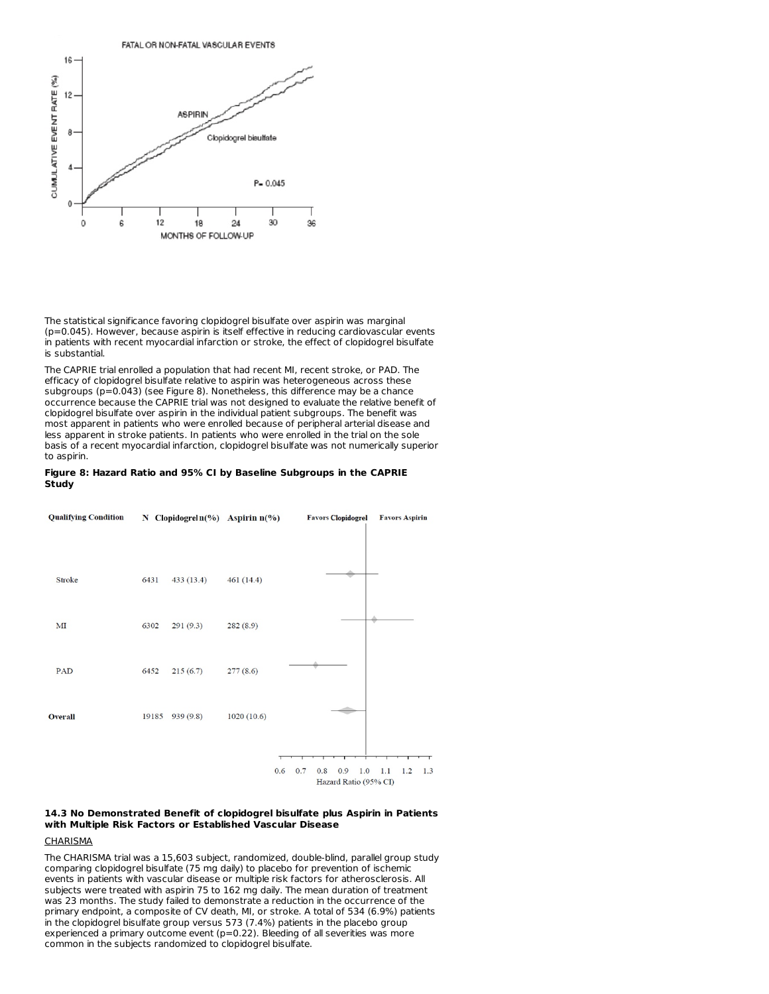

The statistical significance favoring clopidogrel bisulfate over aspirin was marginal (p=0.045). However, because aspirin is itself effective in reducing cardiovascular events in patients with recent myocardial infarction or stroke, the effect of clopidogrel bisulfate is substantial.

The CAPRIE trial enrolled a population that had recent MI, recent stroke, or PAD. The efficacy of clopidogrel bisulfate relative to aspirin was heterogeneous across these subgroups ( $p=0.043$ ) (see Figure 8). Nonetheless, this difference may be a chance occurrence because the CAPRIE trial was not designed to evaluate the relative benefit of clopidogrel bisulfate over aspirin in the individual patient subgroups. The benefit was most apparent in patients who were enrolled because of peripheral arterial disease and less apparent in stroke patients. In patients who were enrolled in the trial on the sole basis of a recent myocardial infarction, clopidogrel bisulfate was not numerically superior to aspirin.

#### **Figure 8: Hazard Ratio and 95% CI by Baseline Subgroups in the CAPRIE Study**



# **14.3 No Demonstrated Benefit of clopidogrel bisulfate plus Aspirin in Patients with Multiple Risk Factors or Established Vascular Disease**

# **CHARISMA**

The CHARISMA trial was a 15,603 subject, randomized, double-blind, parallel group study comparing clopidogrel bisulfate (75 mg daily) to placebo for prevention of ischemic events in patients with vascular disease or multiple risk factors for atherosclerosis. All subjects were treated with aspirin 75 to 162 mg daily. The mean duration of treatment was 23 months. The study failed to demonstrate a reduction in the occurrence of the primary endpoint, a composite of CV death, MI, or stroke. A total of 534 (6.9%) patients in the clopidogrel bisulfate group versus 573 (7.4%) patients in the placebo group experienced a primary outcome event ( $p=0.22$ ). Bleeding of all severities was more common in the subjects randomized to clopidogrel bisulfate.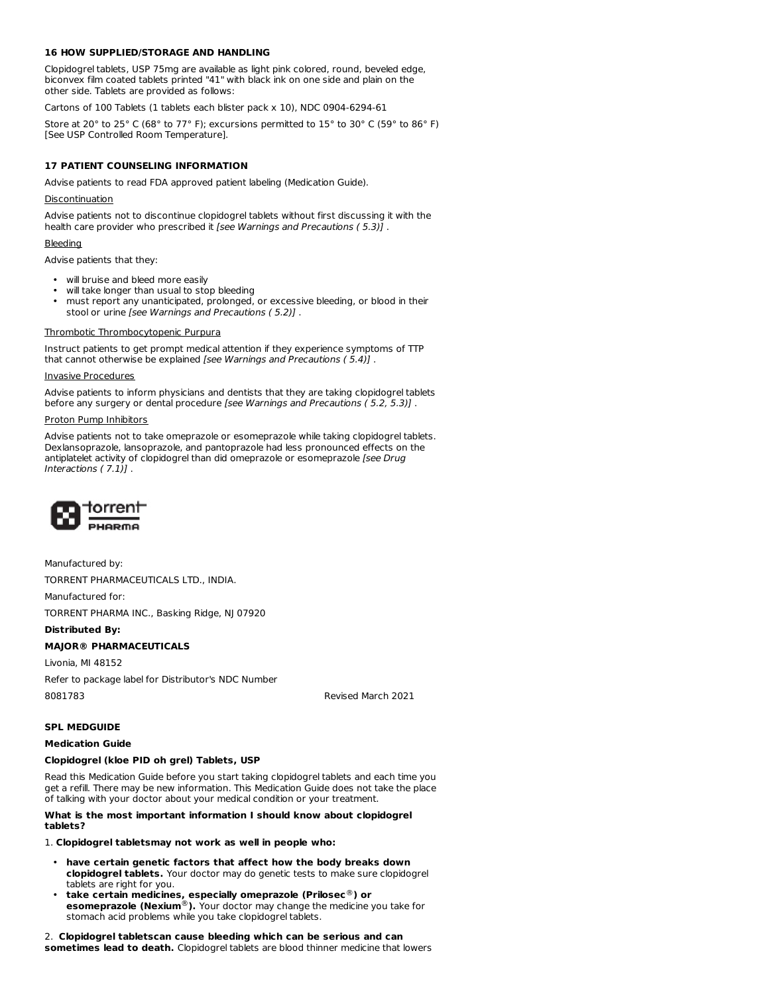# **16 HOW SUPPLIED/STORAGE AND HANDLING**

Clopidogrel tablets, USP 75mg are available as light pink colored, round, beveled edge, biconvex film coated tablets printed "41" with black ink on one side and plain on the other side. Tablets are provided as follows:

Cartons of 100 Tablets (1 tablets each blister pack x 10), NDC 0904-6294-61

Store at 20° to 25° C (68° to 77° F); excursions permitted to 15° to 30° C (59° to 86° F) [See USP Controlled Room Temperature].

# **17 PATIENT COUNSELING INFORMATION**

Advise patients to read FDA approved patient labeling (Medication Guide).

# Discontinuation

Advise patients not to discontinue clopidogrel tablets without first discussing it with the health care provider who prescribed it [see Warnings and Precautions (5.3)].

### Bleeding

Advise patients that they:

- will bruise and bleed more easily
- will take longer than usual to stop bleeding
- must report any unanticipated, prolonged, or excessive bleeding, or blood in their stool or urine [see Warnings and Precautions ( 5.2)] .

# Thrombotic Thrombocytopenic Purpura

Instruct patients to get prompt medical attention if they experience symptoms of TTP that cannot otherwise be explained [see Warnings and Precautions ( 5.4)] .

#### Invasive Procedures

Advise patients to inform physicians and dentists that they are taking clopidogrel tablets before any surgery or dental procedure [see Warnings and Precautions ( 5.2, 5.3)] .

### Proton Pump Inhibitors

Advise patients not to take omeprazole or esomeprazole while taking clopidogrel tablets. Dexlansoprazole, lansoprazole, and pantoprazole had less pronounced effects on the antiplatelet activity of clopidogrel than did omeprazole or esomeprazole [see Drug Interactions ( 7.1)] .



Manufactured by:

TORRENT PHARMACEUTICALS LTD., INDIA.

Manufactured for:

TORRENT PHARMA INC., Basking Ridge, NJ 07920

# **Distributed By:**

# **MAJOR® PHARMACEUTICALS**

Livonia, MI 48152

Refer to package label for Distributor's NDC Number

8081783 Revised March 2021

# **SPL MEDGUIDE**

#### **Medication Guide**

#### **Clopidogrel (kloe PID oh grel) Tablets, USP**

Read this Medication Guide before you start taking clopidogrel tablets and each time you get a refill. There may be new information. This Medication Guide does not take the place of talking with your doctor about your medical condition or your treatment.

### **What is the most important information I should know about clopidogrel tablets?**

# 1. **Clopidogrel tabletsmay not work as well in people who:**

- **have certain genetic factors that affect how the body breaks down clopidogrel tablets.** Your doctor may do genetic tests to make sure clopidogrel tablets are right for you.
- **take certain medicines, especially omeprazole (Prilosec ) or esomeprazole (Nexium**®). Your doctor may change the medicine you take for stomach acid problems while you take clopidogrel tablets. ® ®

# 2. **Clopidogrel tabletscan cause bleeding which can be serious and can sometimes lead to death.** Clopidogrel tablets are blood thinner medicine that lowers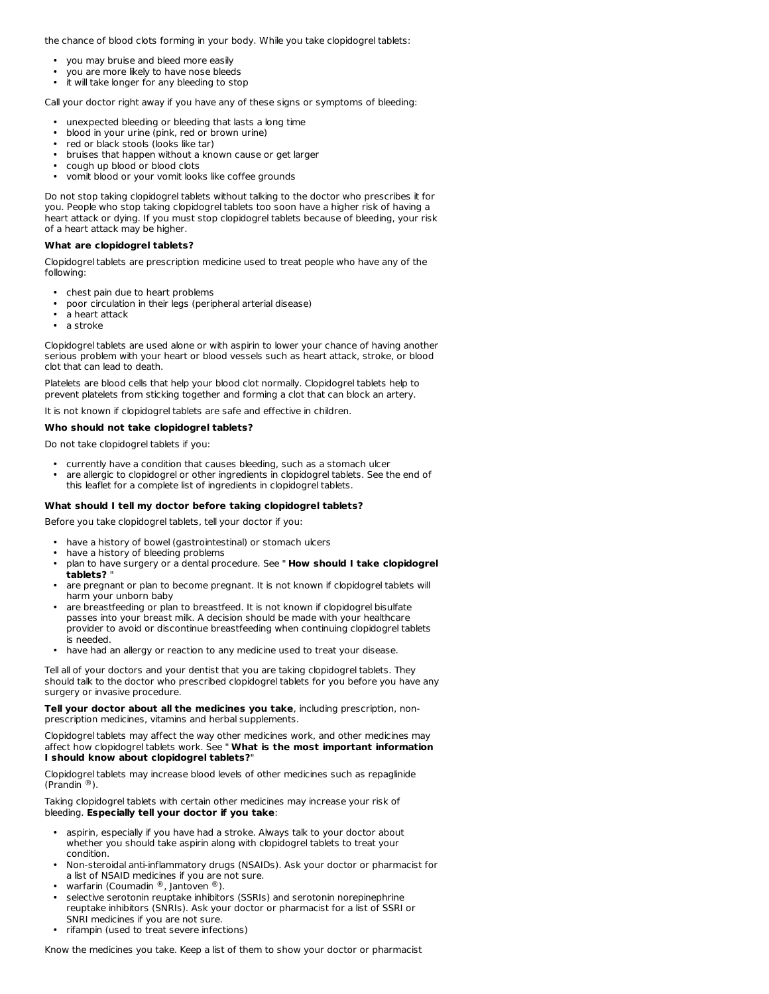the chance of blood clots forming in your body. While you take clopidogrel tablets:

- you may bruise and bleed more easily
- you are more likely to have nose bleeds
- it will take longer for any bleeding to stop

Call your doctor right away if you have any of these signs or symptoms of bleeding:

- unexpected bleeding or bleeding that lasts a long time
- blood in your urine (pink, red or brown urine)
- red or black stools (looks like tar)
- bruises that happen without a known cause or get larger
- cough up blood or blood clots
- vomit blood or your vomit looks like coffee grounds

Do not stop taking clopidogrel tablets without talking to the doctor who prescribes it for you. People who stop taking clopidogrel tablets too soon have a higher risk of having a heart attack or dying. If you must stop clopidogrel tablets because of bleeding, your risk of a heart attack may be higher.

# **What are clopidogrel tablets?**

Clopidogrel tablets are prescription medicine used to treat people who have any of the following:

- chest pain due to heart problems
- poor circulation in their legs (peripheral arterial disease)
- a heart attack
- a stroke

Clopidogrel tablets are used alone or with aspirin to lower your chance of having another serious problem with your heart or blood vessels such as heart attack, stroke, or blood clot that can lead to death.

Platelets are blood cells that help your blood clot normally. Clopidogrel tablets help to prevent platelets from sticking together and forming a clot that can block an artery.

It is not known if clopidogrel tablets are safe and effective in children.

### **Who should not take clopidogrel tablets?**

Do not take clopidogrel tablets if you:

- currently have a condition that causes bleeding, such as a stomach ulcer
- are allergic to clopidogrel or other ingredients in clopidogrel tablets. See the end of this leaflet for a complete list of ingredients in clopidogrel tablets.

# **What should I tell my doctor before taking clopidogrel tablets?**

Before you take clopidogrel tablets, tell your doctor if you:

- have a history of bowel (gastrointestinal) or stomach ulcers
- have a history of bleeding problems
- plan to have surgery or a dental procedure. See " **How should I take clopidogrel tablets?** "
- are pregnant or plan to become pregnant. It is not known if clopidogrel tablets will harm your unborn baby
- are breastfeeding or plan to breastfeed. It is not known if clopidogrel bisulfate passes into your breast milk. A decision should be made with your healthcare provider to avoid or discontinue breastfeeding when continuing clopidogrel tablets is needed.
- have had an allergy or reaction to any medicine used to treat your disease.

Tell all of your doctors and your dentist that you are taking clopidogrel tablets. They should talk to the doctor who prescribed clopidogrel tablets for you before you have any surgery or invasive procedure.

**Tell your doctor about all the medicines you take**, including prescription, nonprescription medicines, vitamins and herbal supplements.

Clopidogrel tablets may affect the way other medicines work, and other medicines may affect how clopidogrel tablets work. See " **What is the most important information I should know about clopidogrel tablets?**"

Clopidogrel tablets may increase blood levels of other medicines such as repaglinide (Prandin  $^{\circledR}$ ).

Taking clopidogrel tablets with certain other medicines may increase your risk of bleeding. **Especially tell your doctor if you take**:

- aspirin, especially if you have had a stroke. Always talk to your doctor about whether you should take aspirin along with clopidogrel tablets to treat your condition.
- Non-steroidal anti-inflammatory drugs (NSAIDs). Ask your doctor or pharmacist for a list of NSAID medicines if you are not sure.
- warfarin (Coumadin ®, Jantoven ®).
- selective serotonin reuptake inhibitors (SSRIs) and serotonin norepinephrine reuptake inhibitors (SNRIs). Ask your doctor or pharmacist for a list of SSRI or SNRI medicines if you are not sure.
- rifampin (used to treat severe infections)

Know the medicines you take. Keep a list of them to show your doctor or pharmacist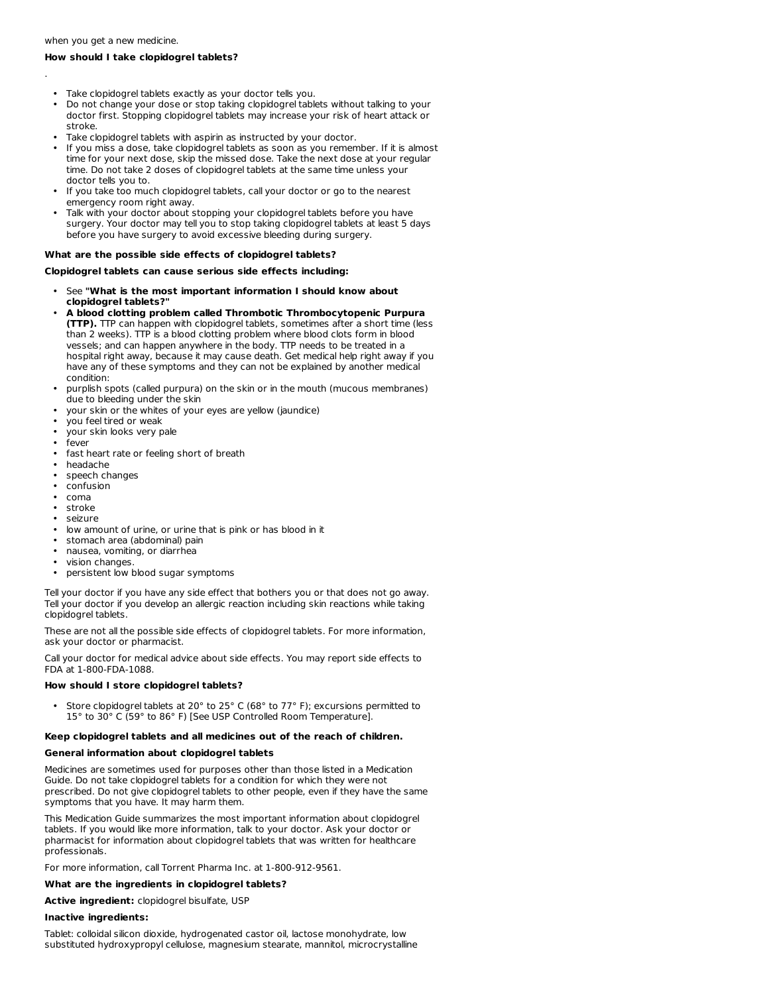.

# **How should I take clopidogrel tablets?**

- Take clopidogrel tablets exactly as your doctor tells you.
- Do not change your dose or stop taking clopidogrel tablets without talking to your doctor first. Stopping clopidogrel tablets may increase your risk of heart attack or stroke.
- Take clopidogrel tablets with aspirin as instructed by your doctor.
- If you miss a dose, take clopidogrel tablets as soon as you remember. If it is almost time for your next dose, skip the missed dose. Take the next dose at your regular time. Do not take 2 doses of clopidogrel tablets at the same time unless your doctor tells you to.
- If you take too much clopidogrel tablets, call your doctor or go to the nearest emergency room right away.
- Talk with your doctor about stopping your clopidogrel tablets before you have surgery. Your doctor may tell you to stop taking clopidogrel tablets at least 5 days before you have surgery to avoid excessive bleeding during surgery.

# **What are the possible side effects of clopidogrel tablets?**

### **Clopidogrel tablets can cause serious side effects including:**

- See **"What is the most important information I should know about clopidogrel tablets?"**
- **A blood clotting problem called Thrombotic Thrombocytopenic Purpura (TTP).** TTP can happen with clopidogrel tablets, sometimes after a short time (less than 2 weeks). TTP is a blood clotting problem where blood clots form in blood vessels; and can happen anywhere in the body. TTP needs to be treated in a hospital right away, because it may cause death. Get medical help right away if you have any of these symptoms and they can not be explained by another medical condition:
- purplish spots (called purpura) on the skin or in the mouth (mucous membranes) due to bleeding under the skin
- your skin or the whites of your eyes are yellow (jaundice)
- you feel tired or weak
- your skin looks very pale
- fever
- fast heart rate or feeling short of breath
- headache
- speech changes
- confusion
- coma
- stroke
- seizure
- low amount of urine, or urine that is pink or has blood in it
- stomach area (abdominal) pain
- nausea, vomiting, or diarrhea
- vision changes.
- persistent low blood sugar symptoms

Tell your doctor if you have any side effect that bothers you or that does not go away. Tell your doctor if you develop an allergic reaction including skin reactions while taking clopidogrel tablets.

These are not all the possible side effects of clopidogrel tablets. For more information, ask your doctor or pharmacist.

Call your doctor for medical advice about side effects. You may report side effects to FDA at 1-800-FDA-1088.

#### **How should I store clopidogrel tablets?**

• Store clopidogrel tablets at 20° to 25° C (68° to 77° F); excursions permitted to 15° to 30° C (59° to 86° F) [See USP Controlled Room Temperature].

#### **Keep clopidogrel tablets and all medicines out of the reach of children.**

#### **General information about clopidogrel tablets**

Medicines are sometimes used for purposes other than those listed in a Medication Guide. Do not take clopidogrel tablets for a condition for which they were not prescribed. Do not give clopidogrel tablets to other people, even if they have the same symptoms that you have. It may harm them.

This Medication Guide summarizes the most important information about clopidogrel tablets. If you would like more information, talk to your doctor. Ask your doctor or pharmacist for information about clopidogrel tablets that was written for healthcare professionals.

For more information, call Torrent Pharma Inc. at 1-800-912-9561.

# **What are the ingredients in clopidogrel tablets?**

**Active ingredient:** clopidogrel bisulfate, USP

#### **Inactive ingredients:**

Tablet: colloidal silicon dioxide, hydrogenated castor oil, lactose monohydrate, low substituted hydroxypropyl cellulose, magnesium stearate, mannitol, microcrystalline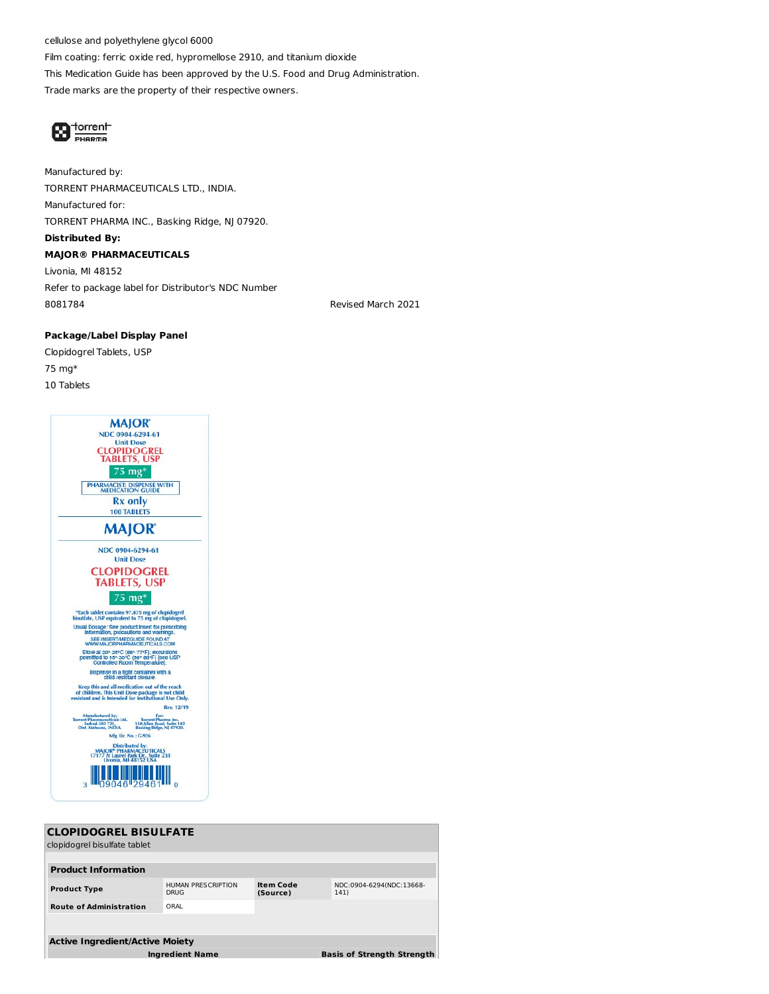cellulose and polyethylene glycol 6000 Film coating: ferric oxide red, hypromellose 2910, and titanium dioxide This Medication Guide has been approved by the U.S. Food and Drug Administration. Trade marks are the property of their respective owners.



Manufactured by: TORRENT PHARMACEUTICALS LTD., INDIA. Manufactured for: TORRENT PHARMA INC., Basking Ridge, NJ 07920. **Distributed By: MAJOR® PHARMACEUTICALS** Livonia, MI 48152 Refer to package label for Distributor's NDC Number 8081784 Revised March 2021

# **Package/Label Display Panel**

Clopidogrel Tablets, USP 75 mg\* 10 Tablets



| <b>CLOPIDOGREL BISULFATE</b>           |                                                             |                              |                                  |  |  |  |
|----------------------------------------|-------------------------------------------------------------|------------------------------|----------------------------------|--|--|--|
| clopidogrel bisulfate tablet           |                                                             |                              |                                  |  |  |  |
|                                        |                                                             |                              |                                  |  |  |  |
| <b>Product Information</b>             |                                                             |                              |                                  |  |  |  |
| <b>Product Type</b>                    | HUMAN PRESCRIPTION<br><b>DRUG</b>                           | <b>Item Code</b><br>(Source) | NDC:0904-6294(NDC:13668-<br>141) |  |  |  |
| <b>Route of Administration</b>         | ORAL                                                        |                              |                                  |  |  |  |
|                                        |                                                             |                              |                                  |  |  |  |
| <b>Active Ingredient/Active Moiety</b> |                                                             |                              |                                  |  |  |  |
|                                        | <b>Basis of Strength Strength</b><br><b>Ingredient Name</b> |                              |                                  |  |  |  |
|                                        |                                                             |                              |                                  |  |  |  |